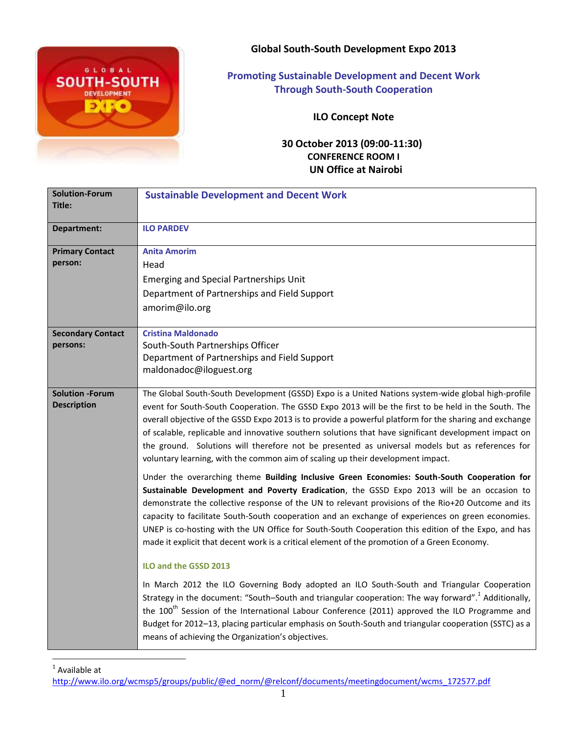

# **Global South-South Development Expo 2013**

**Promoting Sustainable Development and Decent Work Through South-South Cooperation**

**ILO Concept Note** 

# **30 October 2013 (09:00-11:30) CONFERENCE ROOM I UN Office at Nairobi**

| <b>Solution-Forum</b><br>Title:              | <b>Sustainable Development and Decent Work</b>                                                                                                                                                                                                                                                                                                                                                                                                                                                                                                                                                                                              |
|----------------------------------------------|---------------------------------------------------------------------------------------------------------------------------------------------------------------------------------------------------------------------------------------------------------------------------------------------------------------------------------------------------------------------------------------------------------------------------------------------------------------------------------------------------------------------------------------------------------------------------------------------------------------------------------------------|
| Department:                                  | <b>ILO PARDEV</b>                                                                                                                                                                                                                                                                                                                                                                                                                                                                                                                                                                                                                           |
| <b>Primary Contact</b>                       | <b>Anita Amorim</b>                                                                                                                                                                                                                                                                                                                                                                                                                                                                                                                                                                                                                         |
| person:                                      | Head                                                                                                                                                                                                                                                                                                                                                                                                                                                                                                                                                                                                                                        |
|                                              | <b>Emerging and Special Partnerships Unit</b>                                                                                                                                                                                                                                                                                                                                                                                                                                                                                                                                                                                               |
|                                              | Department of Partnerships and Field Support                                                                                                                                                                                                                                                                                                                                                                                                                                                                                                                                                                                                |
|                                              | amorim@ilo.org                                                                                                                                                                                                                                                                                                                                                                                                                                                                                                                                                                                                                              |
|                                              |                                                                                                                                                                                                                                                                                                                                                                                                                                                                                                                                                                                                                                             |
| <b>Secondary Contact</b>                     | <b>Cristina Maldonado</b>                                                                                                                                                                                                                                                                                                                                                                                                                                                                                                                                                                                                                   |
| persons:                                     | South-South Partnerships Officer                                                                                                                                                                                                                                                                                                                                                                                                                                                                                                                                                                                                            |
|                                              | Department of Partnerships and Field Support                                                                                                                                                                                                                                                                                                                                                                                                                                                                                                                                                                                                |
|                                              | maldonadoc@iloguest.org                                                                                                                                                                                                                                                                                                                                                                                                                                                                                                                                                                                                                     |
| <b>Solution -Forum</b><br><b>Description</b> | The Global South-South Development (GSSD) Expo is a United Nations system-wide global high-profile<br>event for South-South Cooperation. The GSSD Expo 2013 will be the first to be held in the South. The<br>overall objective of the GSSD Expo 2013 is to provide a powerful platform for the sharing and exchange<br>of scalable, replicable and innovative southern solutions that have significant development impact on<br>the ground. Solutions will therefore not be presented as universal models but as references for<br>voluntary learning, with the common aim of scaling up their development impact.                         |
|                                              | Under the overarching theme Building Inclusive Green Economies: South-South Cooperation for<br>Sustainable Development and Poverty Eradication, the GSSD Expo 2013 will be an occasion to<br>demonstrate the collective response of the UN to relevant provisions of the Rio+20 Outcome and its<br>capacity to facilitate South-South cooperation and an exchange of experiences on green economies.<br>UNEP is co-hosting with the UN Office for South-South Cooperation this edition of the Expo, and has<br>made it explicit that decent work is a critical element of the promotion of a Green Economy.<br><b>ILO and the GSSD 2013</b> |
|                                              | In March 2012 the ILO Governing Body adopted an ILO South-South and Triangular Cooperation<br>Strategy in the document: "South-South and triangular cooperation: The way forward". <sup>1</sup> Additionally,<br>the 100 <sup>th</sup> Session of the International Labour Conference (2011) approved the ILO Programme and<br>Budget for 2012-13, placing particular emphasis on South-South and triangular cooperation (SSTC) as a<br>means of achieving the Organization's objectives.                                                                                                                                                   |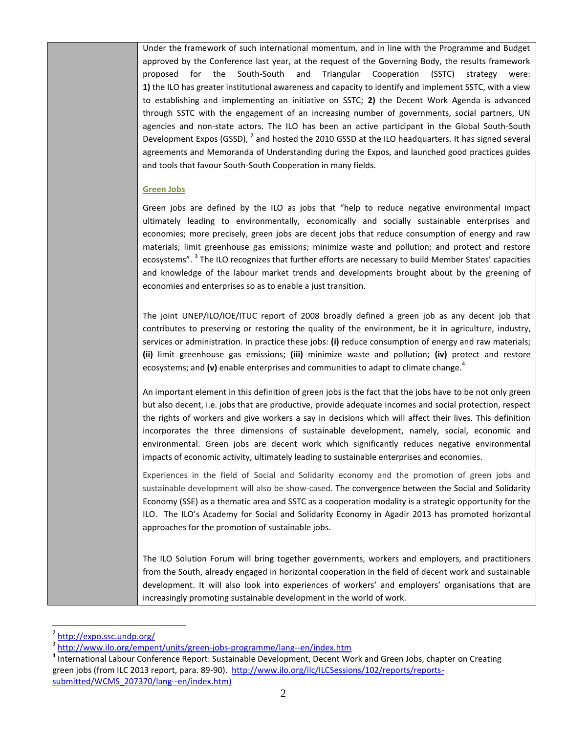Under the framework of such international momentum, and in line with the Programme and Budget approved by the Conference last year, at the request of the Governing Body, the results framework proposed for the South-South and Triangular Cooperation (SSTC) strategy were: **1)** the ILO has greater institutional awareness and capacity to identify and implement SSTC, with a view to establishing and implementing an initiative on SSTC; **2)** the Decent Work Agenda is advanced through SSTC with the engagement of an increasing number of governments, social partners, UN agencies and non-state actors. The ILO has been an active participant in the Global South-South Development Expos (GSSD),  $^2$  and hosted the 2010 GSSD at the ILO headquarters. It has signed several agreements and Memoranda of Understanding during the Expos, and launched good practices guides and tools that favour South-South Cooperation in many fields.

#### **Green Jobs**

Green jobs are defined by the ILO as jobs that "help to reduce negative environmental impact ultimately leading to environmentally, economically and socially sustainable enterprises and economies; more precisely, green jobs are decent jobs that reduce consumption of energy and raw materials; limit greenhouse gas emissions; minimize waste and pollution; and protect and restore ecosystems". <sup>3</sup> The ILO recognizes that further efforts are necessary to build Member States' capacities and knowledge of the labour market trends and developments brought about by the greening of economies and enterprises so as to enable a just transition.

The joint UNEP/ILO/IOE/ITUC report of 2008 broadly defined a green job as any decent job that contributes to preserving or restoring the quality of the environment, be it in agriculture, industry, services or administration. In practice these jobs: **(i)** reduce consumption of energy and raw materials; **(ii)** limit greenhouse gas emissions; **(iii)** minimize waste and pollution; **(iv)** protect and restore ecosystems; and (v) enable enterprises and communities to adapt to climate change.<sup>4</sup>

An important element in this definition of green jobs is the fact that the jobs have to be not only green but also decent, i.e. jobs that are productive, provide adequate incomes and social protection, respect the rights of workers and give workers a say in decisions which will affect their lives. This definition incorporates the three dimensions of sustainable development, namely, social, economic and environmental. Green jobs are decent work which significantly reduces negative environmental impacts of economic activity, ultimately leading to sustainable enterprises and economies.

Experiences in the field of Social and Solidarity economy and the promotion of green jobs and sustainable development will also be show-cased. The convergence between the Social and Solidarity Economy (SSE) as a thematic area and SSTC as a cooperation modality is a strategic opportunity for the ILO. The ILO's Academy for Social and Solidarity Economy in Agadir 2013 has promoted horizontal approaches for the promotion of sustainable jobs.

The ILO Solution Forum will bring together governments, workers and employers, and practitioners from the South, already engaged in horizontal cooperation in the field of decent work and sustainable development. It will also look into experiences of workers' and employers' organisations that are increasingly promoting sustainable development in the world of work.

 $\overline{a}$ 

<sup>&</sup>lt;sup>2</sup> <http://expo.ssc.undp.org/>

<sup>&</sup>lt;sup>3</sup> <http://www.ilo.org/empent/units/green-jobs-programme/lang--en/index.htm>

<sup>&</sup>lt;sup>4</sup> International Labour Conference Report: Sustainable Development, Decent Work and Green Jobs, chapter on Creating green jobs (from ILC 2013 report, para. 89-90). [http://www.ilo.org/ilc/ILCSessions/102/reports/reports](http://www.ilo.org/ilc/ILCSessions/102/reports/reports-submitted/WCMS_207370/lang--en/index.htm))[submitted/WCMS\\_207370/lang--en/index.htm\)](http://www.ilo.org/ilc/ILCSessions/102/reports/reports-submitted/WCMS_207370/lang--en/index.htm))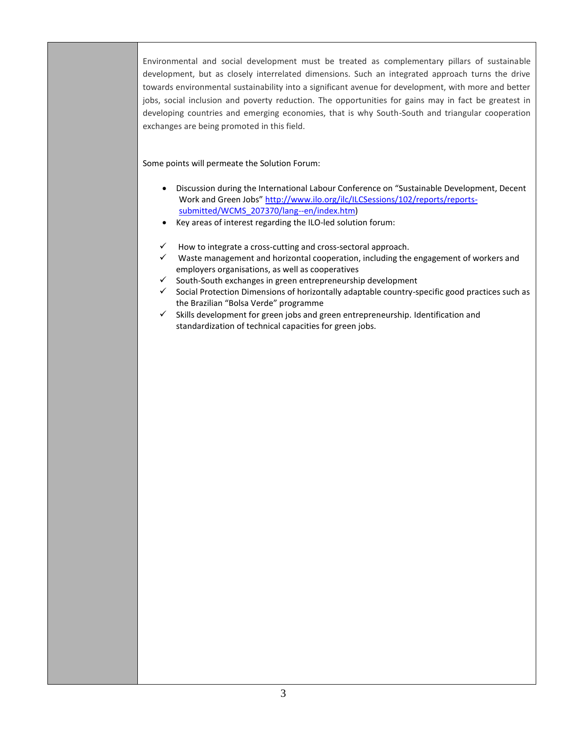Environmental and social development must be treated as complementary pillars of sustainable development, but as closely interrelated dimensions. Such an integrated approach turns the drive towards environmental sustainability into a significant avenue for development, with more and better jobs, social inclusion and poverty reduction. The opportunities for gains may in fact be greatest in developing countries and emerging economies, that is why South-South and triangular cooperation exchanges are being promoted in this field.

Some points will permeate the Solution Forum:

- Discussion during the International Labour Conference on "Sustainable Development, Decent Work and Green Jobs" [http://www.ilo.org/ilc/ILCSessions/102/reports/reports](http://www.ilo.org/ilc/ILCSessions/102/reports/reports-submitted/WCMS_207370/lang--en/index.htm)[submitted/WCMS\\_207370/lang--en/index.htm\)](http://www.ilo.org/ilc/ILCSessions/102/reports/reports-submitted/WCMS_207370/lang--en/index.htm)
- Key areas of interest regarding the ILO-led solution forum:
- How to integrate a cross-cutting and cross-sectoral approach.
- $\checkmark$  Waste management and horizontal cooperation, including the engagement of workers and employers organisations, as well as cooperatives
- $\checkmark$  South-South exchanges in green entrepreneurship development
- $\checkmark$  Social Protection Dimensions of horizontally adaptable country-specific good practices such as the Brazilian "Bolsa Verde" programme
- $\checkmark$  Skills development for green jobs and green entrepreneurship. Identification and standardization of technical capacities for green jobs.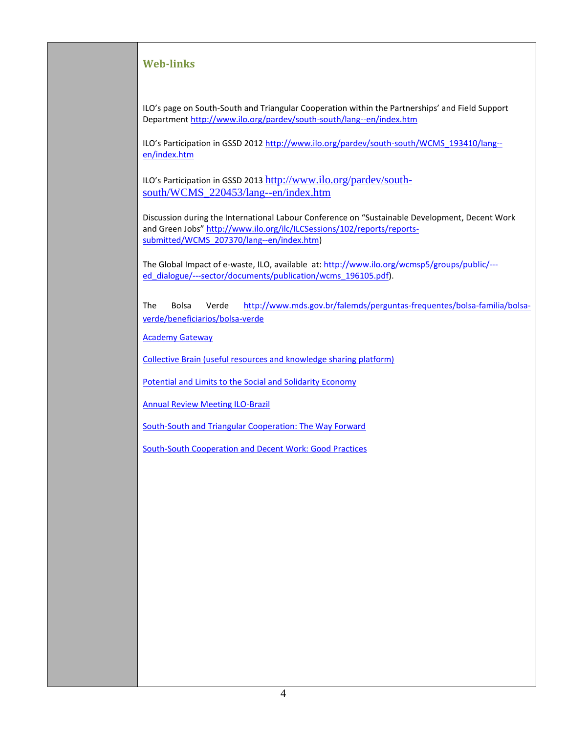## **Web-links**

ILO's page on South-South and Triangular Cooperation within the Partnerships' and Field Support Department<http://www.ilo.org/pardev/south-south/lang--en/index.htm>

ILO's Participation in GSSD 2012 [http://www.ilo.org/pardev/south-south/WCMS\\_193410/lang-](http://www.ilo.org/pardev/south-south/WCMS_193410/lang--en/index.htm) [en/index.htm](http://www.ilo.org/pardev/south-south/WCMS_193410/lang--en/index.htm)

ILO's Participation in GSSD 2013 [http://www.ilo.org/pardev/south](http://www.ilo.org/pardev/south-south/WCMS_220453/lang--en/index.htm)[south/WCMS\\_220453/lang--en/index.htm](http://www.ilo.org/pardev/south-south/WCMS_220453/lang--en/index.htm)

Discussion during the International Labour Conference on "Sustainable Development, Decent Work and Green Jobs" [http://www.ilo.org/ilc/ILCSessions/102/reports/reports](http://www.ilo.org/ilc/ILCSessions/102/reports/reports-submitted/WCMS_207370/lang--en/index.htm)[submitted/WCMS\\_207370/lang--en/index.htm\)](http://www.ilo.org/ilc/ILCSessions/102/reports/reports-submitted/WCMS_207370/lang--en/index.htm)

The Global Impact of e-waste, ILO, available at[: http://www.ilo.org/wcmsp5/groups/public/--](http://www.ilo.org/wcmsp5/groups/public/---ed_dialogue/---sector/documents/publication/wcms_196105.pdf) ed dialogue/---sector/documents/publication/wcms 196105.pdf).

The Bolsa Verde [http://www.mds.gov.br/falemds/perguntas-frequentes/bolsa-familia/bolsa](http://www.mds.gov.br/falemds/perguntas-frequentes/bolsa-familia/bolsa-verde/beneficiarios/bolsa-verde)[verde/beneficiarios/bolsa-verde](http://www.mds.gov.br/falemds/perguntas-frequentes/bolsa-familia/bolsa-verde/beneficiarios/bolsa-verde)

[Academy Gateway](http://socialeconomy.itcilo.org/en)

[Collective Brain \(useful resources and knowledge sharing platform\)](http://www.sseacb.net/3rd_edition)

[Potential and Limits to the Social and Solidarity Economy](http://www.unrisd.org/80256B3C005BD6AB/%28httpEvents%29/513E84D6BA2D56EEC1257AFA00469157?OpenDocument)

[Annual Review Meeting ILO-Brazil](http://www.oitbrasil.org.br/node/834)

[South-South and Triangular Cooperation: The Way Forward](http://www.ilo.org/wcmsp5/groups/public/@ed_norm/@relconf/documents/meetingdocument/wcms_172577.pdf)

[South-South Cooperation and Decent Work: Good Practices](http://www.ilo.org/wcmsp5/groups/public/---dgreports/---exrel/documents/publication/wcms_211770.pdf)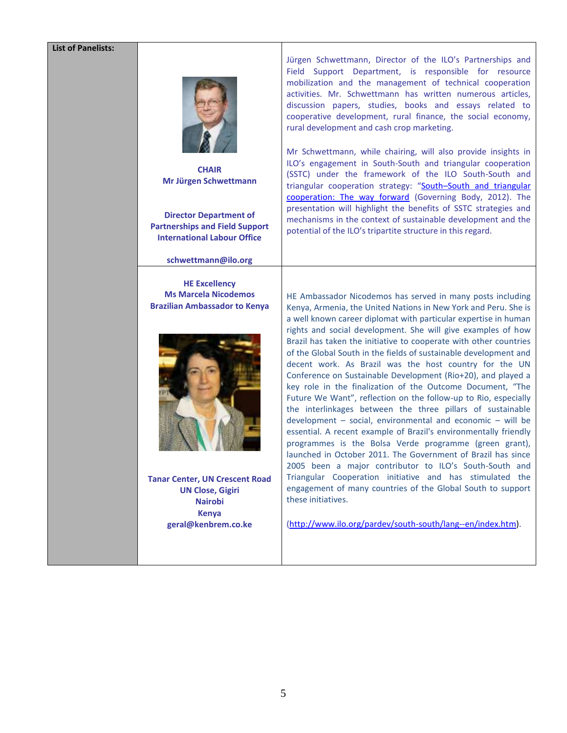#### **List of Panelists:**



**CHAIR Mr Jürgen Schwettmann**

**Director Department of Partnerships and Field Support International Labour Office**

**schwettmann@ilo.org**

**HE Excellency Ms Marcela Nicodemos Brazilian Ambassador to Kenya**



**Tanar Center, UN Crescent Road UN Close, Gigiri Nairobi Kenya [geral@kenbrem.co.ke](mailto:geral@kenbrem.co.ke)**

Jürgen Schwettmann, Director of the ILO's Partnerships and Field Support Department, is responsible for resource mobilization and the management of technical cooperation activities. Mr. Schwettmann has written numerous articles, discussion papers, studies, books and essays related to cooperative development, rural finance, the social economy, rural development and cash crop marketing.

Mr Schwettmann, while chairing, will also provide insights in ILO's engagement in South-South and triangular cooperation (SSTC) under the framework of the ILO South-South and triangular cooperation strategy: "South–[South and triangular](http://www.ilo.org/gb/GBSessions/GB313/pol/WCMS_172577/lang--en/index.htm)  [cooperation: The way forward](http://www.ilo.org/gb/GBSessions/GB313/pol/WCMS_172577/lang--en/index.htm) (Governing Body, 2012). The presentation will highlight the benefits of SSTC strategies and mechanisms in the context of sustainable development and the potential of the ILO's tripartite structure in this regard.

HE Ambassador Nicodemos has served in many posts including Kenya, Armenia, the United Nations in New York and Peru. She is a well known career diplomat with particular expertise in human rights and social development. She will give examples of how Brazil has taken the initiative to cooperate with other countries of the Global South in the fields of sustainable development and decent work. As Brazil was the host country for the UN Conference on Sustainable Development (Rio+20), and played a key role in the finalization of the Outcome Document, "The Future We Want", reflection on the follow-up to Rio, especially the interlinkages between the three pillars of sustainable development – social, environmental and economic – will be essential. A recent example of Brazil's environmentally friendly programmes is the Bolsa Verde programme (green grant), launched in October 2011. The Government of Brazil has since 2005 been a major contributor to ILO's South-South and Triangular Cooperation initiative and has stimulated the engagement of many countries of the Global South to support these initiatives.

[\(http://www.ilo.org/pardev/south-south/lang--en/index.htm\)](http://www.ilo.org/pardev/south-south/lang--en/index.htm).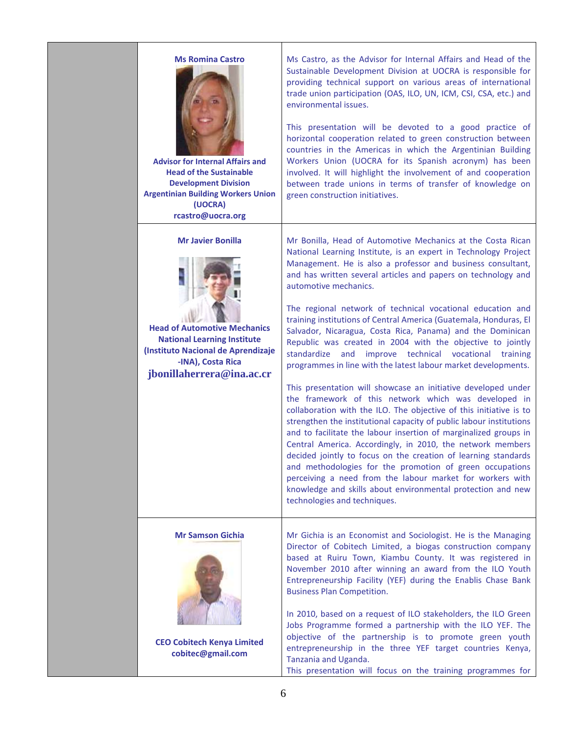| <b>Ms Romina Castro</b><br><b>Advisor for Internal Affairs and</b><br><b>Head of the Sustainable</b><br><b>Development Division</b><br><b>Argentinian Building Workers Union</b><br>(UOCRA)<br>rcastro@uocra.org | Ms Castro, as the Advisor for Internal Affairs and Head of the<br>Sustainable Development Division at UOCRA is responsible for<br>providing technical support on various areas of international<br>trade union participation (OAS, ILO, UN, ICM, CSI, CSA, etc.) and<br>environmental issues.<br>This presentation will be devoted to a good practice of<br>horizontal cooperation related to green construction between<br>countries in the Americas in which the Argentinian Building<br>Workers Union (UOCRA for its Spanish acronym) has been<br>involved. It will highlight the involvement of and cooperation<br>between trade unions in terms of transfer of knowledge on<br>green construction initiatives.                                                                                                                                                                                                                                                                                                                                                                                                                                                                                                                                                                                                                                                                    |
|------------------------------------------------------------------------------------------------------------------------------------------------------------------------------------------------------------------|----------------------------------------------------------------------------------------------------------------------------------------------------------------------------------------------------------------------------------------------------------------------------------------------------------------------------------------------------------------------------------------------------------------------------------------------------------------------------------------------------------------------------------------------------------------------------------------------------------------------------------------------------------------------------------------------------------------------------------------------------------------------------------------------------------------------------------------------------------------------------------------------------------------------------------------------------------------------------------------------------------------------------------------------------------------------------------------------------------------------------------------------------------------------------------------------------------------------------------------------------------------------------------------------------------------------------------------------------------------------------------------|
| <b>Mr Javier Bonilla</b><br><b>Head of Automotive Mechanics</b><br><b>National Learning Institute</b><br>(Instituto Nacional de Aprendizaje<br>-INA), Costa Rica<br>jbonillaherrera@ina.ac.cr                    | Mr Bonilla, Head of Automotive Mechanics at the Costa Rican<br>National Learning Institute, is an expert in Technology Project<br>Management. He is also a professor and business consultant,<br>and has written several articles and papers on technology and<br>automotive mechanics.<br>The regional network of technical vocational education and<br>training institutions of Central America (Guatemala, Honduras, El<br>Salvador, Nicaragua, Costa Rica, Panama) and the Dominican<br>Republic was created in 2004 with the objective to jointly<br>standardize<br>and improve technical vocational training<br>programmes in line with the latest labour market developments.<br>This presentation will showcase an initiative developed under<br>the framework of this network which was developed in<br>collaboration with the ILO. The objective of this initiative is to<br>strengthen the institutional capacity of public labour institutions<br>and to facilitate the labour insertion of marginalized groups in<br>Central America. Accordingly, in 2010, the network members<br>decided jointly to focus on the creation of learning standards<br>and methodologies for the promotion of green occupations<br>perceiving a need from the labour market for workers with<br>knowledge and skills about environmental protection and new<br>technologies and techniques. |
| <b>Mr Samson Gichia</b><br><b>CEO Cobitech Kenya Limited</b><br>cobitec@gmail.com                                                                                                                                | Mr Gichia is an Economist and Sociologist. He is the Managing<br>Director of Cobitech Limited, a biogas construction company<br>based at Ruiru Town, Kiambu County. It was registered in<br>November 2010 after winning an award from the ILO Youth<br>Entrepreneurship Facility (YEF) during the Enablis Chase Bank<br><b>Business Plan Competition.</b><br>In 2010, based on a request of ILO stakeholders, the ILO Green<br>Jobs Programme formed a partnership with the ILO YEF. The<br>objective of the partnership is to promote green youth<br>entrepreneurship in the three YEF target countries Kenya,<br>Tanzania and Uganda.<br>This presentation will focus on the training programmes for                                                                                                                                                                                                                                                                                                                                                                                                                                                                                                                                                                                                                                                                                 |

Т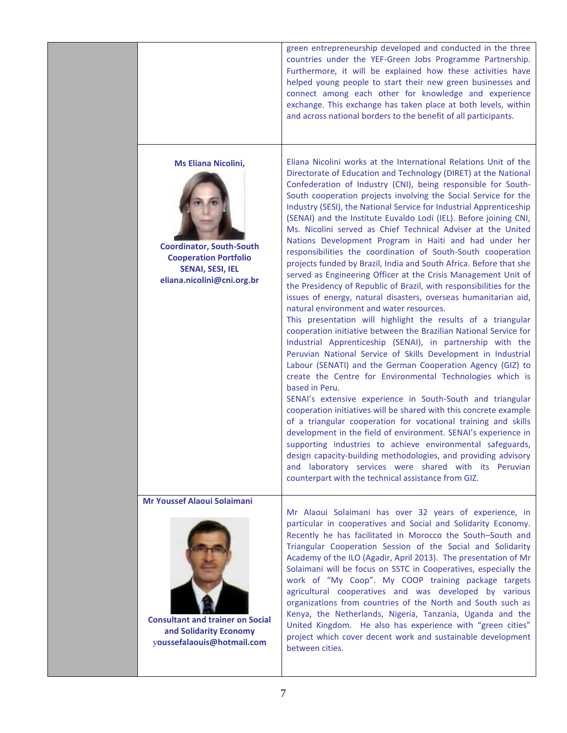|                                                                                                                                                        | green entrepreneurship developed and conducted in the three<br>countries under the YEF-Green Jobs Programme Partnership.<br>Furthermore, it will be explained how these activities have<br>helped young people to start their new green businesses and<br>connect among each other for knowledge and experience<br>exchange. This exchange has taken place at both levels, within<br>and across national borders to the benefit of all participants.                                                                                                                                                                                                                                                                                                                                                                                                                                                                                                                                                                                                                                                                                                                                                                                                                                                                                                                                                                                                                                                                                                                                                                                                                                                                                                                                                                                                                                |
|--------------------------------------------------------------------------------------------------------------------------------------------------------|-------------------------------------------------------------------------------------------------------------------------------------------------------------------------------------------------------------------------------------------------------------------------------------------------------------------------------------------------------------------------------------------------------------------------------------------------------------------------------------------------------------------------------------------------------------------------------------------------------------------------------------------------------------------------------------------------------------------------------------------------------------------------------------------------------------------------------------------------------------------------------------------------------------------------------------------------------------------------------------------------------------------------------------------------------------------------------------------------------------------------------------------------------------------------------------------------------------------------------------------------------------------------------------------------------------------------------------------------------------------------------------------------------------------------------------------------------------------------------------------------------------------------------------------------------------------------------------------------------------------------------------------------------------------------------------------------------------------------------------------------------------------------------------------------------------------------------------------------------------------------------------|
| <b>Ms Eliana Nicolini,</b><br><b>Coordinator, South-South</b><br><b>Cooperation Portfolio</b><br><b>SENAI, SESI, IEL</b><br>eliana.nicolini@cni.org.br | Eliana Nicolini works at the International Relations Unit of the<br>Directorate of Education and Technology (DIRET) at the National<br>Confederation of Industry (CNI), being responsible for South-<br>South cooperation projects involving the Social Service for the<br>Industry (SESI), the National Service for Industrial Apprenticeship<br>(SENAI) and the Institute Euvaldo Lodi (IEL). Before joining CNI,<br>Ms. Nicolini served as Chief Technical Adviser at the United<br>Nations Development Program in Haiti and had under her<br>responsibilities the coordination of South-South cooperation<br>projects funded by Brazil, India and South Africa. Before that she<br>served as Engineering Officer at the Crisis Management Unit of<br>the Presidency of Republic of Brazil, with responsibilities for the<br>issues of energy, natural disasters, overseas humanitarian aid,<br>natural environment and water resources.<br>This presentation will highlight the results of a triangular<br>cooperation initiative between the Brazilian National Service for<br>Industrial Apprenticeship (SENAI), in partnership with the<br>Peruvian National Service of Skills Development in Industrial<br>Labour (SENATI) and the German Cooperation Agency (GIZ) to<br>create the Centre for Environmental Technologies which is<br>based in Peru.<br>SENAI's extensive experience in South-South and triangular<br>cooperation initiatives will be shared with this concrete example<br>of a triangular cooperation for vocational training and skills<br>development in the field of environment. SENAI's experience in<br>supporting industries to achieve environmental safeguards,<br>design capacity-building methodologies, and providing advisory<br>and laboratory services were shared with its Peruvian<br>counterpart with the technical assistance from GIZ. |
| <b>Mr Youssef Alaoui Solaimani</b>                                                                                                                     |                                                                                                                                                                                                                                                                                                                                                                                                                                                                                                                                                                                                                                                                                                                                                                                                                                                                                                                                                                                                                                                                                                                                                                                                                                                                                                                                                                                                                                                                                                                                                                                                                                                                                                                                                                                                                                                                                     |
| <b>Consultant and trainer on Social</b><br>and Solidarity Economy<br>youssefalaouis@hotmail.com                                                        | Mr Alaoui Solaimani has over 32 years of experience, in<br>particular in cooperatives and Social and Solidarity Economy.<br>Recently he has facilitated in Morocco the South-South and<br>Triangular Cooperation Session of the Social and Solidarity<br>Academy of the ILO (Agadir, April 2013). The presentation of Mr<br>Solaimani will be focus on SSTC in Cooperatives, especially the<br>work of "My Coop". My COOP training package targets<br>agricultural cooperatives and was developed by various<br>organizations from countries of the North and South such as<br>Kenya, the Netherlands, Nigeria, Tanzania, Uganda and the<br>United Kingdom. He also has experience with "green cities"<br>project which cover decent work and sustainable development<br>between cities.                                                                                                                                                                                                                                                                                                                                                                                                                                                                                                                                                                                                                                                                                                                                                                                                                                                                                                                                                                                                                                                                                            |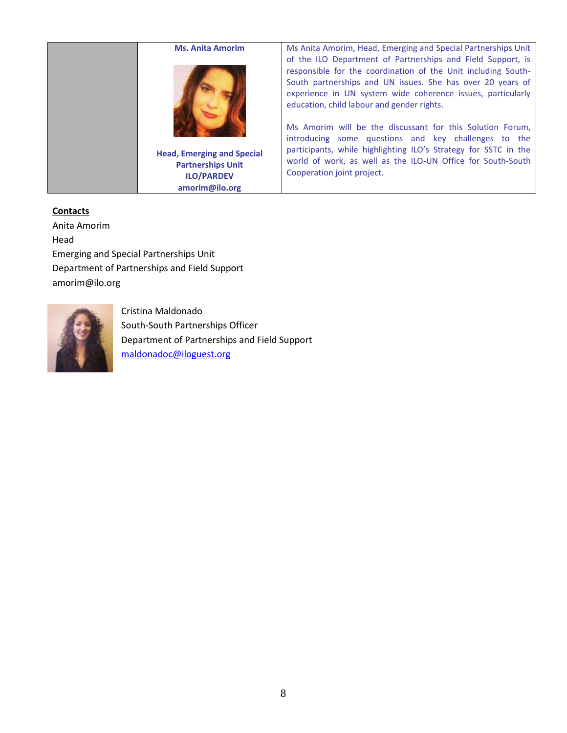## **Ms. Anita Amorim**



**Head, Emerging and Special Partnerships Unit ILO/PARDEV amorim@ilo.org**

Ms Anita Amorim, Head, Emerging and Special Partnerships Unit of the ILO Department of Partnerships and Field Support, is responsible for the coordination of the Unit including South-South partnerships and UN issues. She has over 20 years of experience in UN system wide coherence issues, particularly education, child labour and gender rights.

Ms Amorim will be the discussant for this Solution Forum, introducing some questions and key challenges to the participants, while highlighting ILO's Strategy for SSTC in the world of work, as well as the ILO-UN Office for South-South Cooperation joint project.

**Contacts** Anita Amorim Head Emerging and Special Partnerships Unit Department of Partnerships and Field Support [amorim@ilo.org](mailto:amorim@ilo.org)

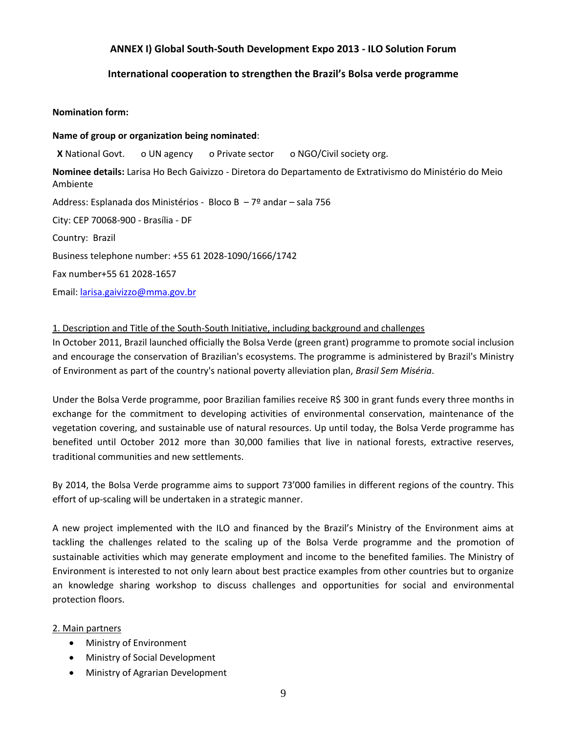## **ANNEX I) Global South-South Development Expo 2013 - ILO Solution Forum**

## **International cooperation to strengthen the Brazil's Bolsa verde programme**

### **Nomination form:**

**Name of group or organization being nominated**: **X** National Govt. o UN agency o Private sector o NGO/Civil society org. **Nominee details:** Larisa Ho Bech Gaivizzo - Diretora do Departamento de Extrativismo do Ministério do Meio Ambiente Address: Esplanada dos Ministérios - Bloco B – 7º andar – sala 756 City: CEP 70068-900 - Brasília - DF Country: Brazil Business telephone number: +55 61 2028-1090/1666/1742 Fax number+55 61 2028-1657 Email[: larisa.gaivizzo@mma.gov.br](mailto:larisa.gaivizzo@mma.gov.br)

### 1. Description and Title of the South-South Initiative, including background and challenges

In October 2011, Brazil launched officially the Bolsa Verde (green grant) programme to promote social inclusion and encourage the conservation of Brazilian's ecosystems. The programme is administered by Brazil's Ministry of Environment as part of the country's national poverty alleviation plan, *Brasil Sem Miséria*.

Under the Bolsa Verde programme, poor Brazilian families receive R\$ 300 in grant funds every three months in exchange for the commitment to developing activities of environmental conservation, maintenance of the vegetation covering, and sustainable use of natural resources. Up until today, the Bolsa Verde programme has benefited until October 2012 more than 30,000 families that live in national forests, extractive reserves, traditional communities and new settlements.

By 2014, the Bolsa Verde programme aims to support 73'000 families in different regions of the country. This effort of up-scaling will be undertaken in a strategic manner.

A new project implemented with the ILO and financed by the Brazil's Ministry of the Environment aims at tackling the challenges related to the scaling up of the Bolsa Verde programme and the promotion of sustainable activities which may generate employment and income to the benefited families. The Ministry of Environment is interested to not only learn about best practice examples from other countries but to organize an knowledge sharing workshop to discuss challenges and opportunities for social and environmental protection floors.

### 2. Main partners

- Ministry of Environment
- Ministry of Social Development
- Ministry of Agrarian Development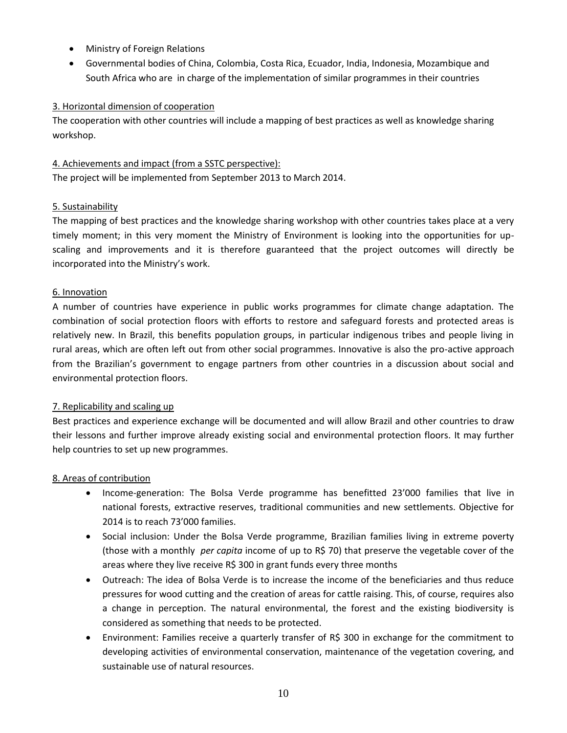- Ministry of Foreign Relations
- Governmental bodies of China, Colombia, Costa Rica, Ecuador, India, Indonesia, Mozambique and South Africa who are in charge of the implementation of similar programmes in their countries

## 3. Horizontal dimension of cooperation

The cooperation with other countries will include a mapping of best practices as well as knowledge sharing workshop.

# 4. Achievements and impact (from a SSTC perspective):

The project will be implemented from September 2013 to March 2014.

# 5. Sustainability

The mapping of best practices and the knowledge sharing workshop with other countries takes place at a very timely moment; in this very moment the Ministry of Environment is looking into the opportunities for upscaling and improvements and it is therefore guaranteed that the project outcomes will directly be incorporated into the Ministry's work.

# 6. Innovation

A number of countries have experience in public works programmes for climate change adaptation. The combination of social protection floors with efforts to restore and safeguard forests and protected areas is relatively new. In Brazil, this benefits population groups, in particular indigenous tribes and people living in rural areas, which are often left out from other social programmes. Innovative is also the pro-active approach from the Brazilian's government to engage partners from other countries in a discussion about social and environmental protection floors.

## 7. Replicability and scaling up

Best practices and experience exchange will be documented and will allow Brazil and other countries to draw their lessons and further improve already existing social and environmental protection floors. It may further help countries to set up new programmes.

## 8. Areas of contribution

- Income-generation: The Bolsa Verde programme has benefitted 23'000 families that live in national forests, extractive reserves, traditional communities and new settlements. Objective for 2014 is to reach 73'000 families.
- Social inclusion: Under the Bolsa Verde programme, Brazilian families living in extreme poverty (those with a monthly *per capita* income of up to R\$ 70) that preserve the vegetable cover of the areas where they live receive R\$ 300 in grant funds every three months
- Outreach: The idea of Bolsa Verde is to increase the income of the beneficiaries and thus reduce pressures for wood cutting and the creation of areas for cattle raising. This, of course, requires also a change in perception. The natural environmental, the forest and the existing biodiversity is considered as something that needs to be protected.
- Environment: Families receive a quarterly transfer of R\$ 300 in exchange for the commitment to developing activities of environmental conservation, maintenance of the vegetation covering, and sustainable use of natural resources.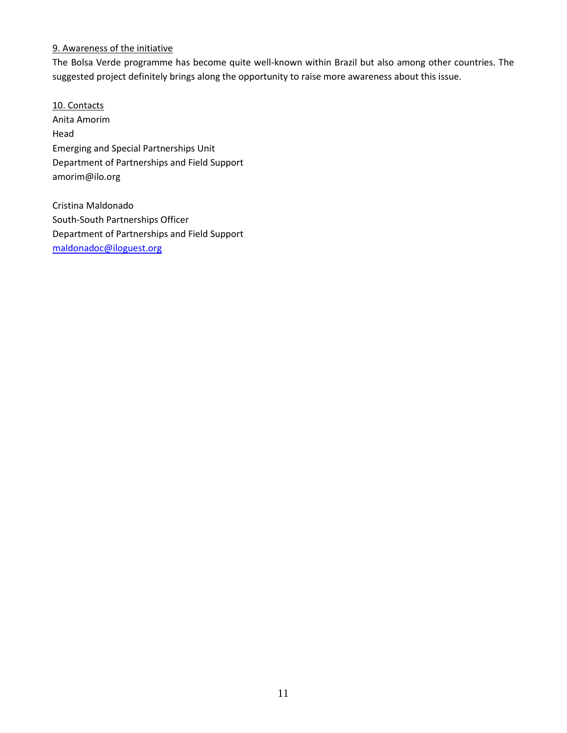## 9. Awareness of the initiative

The Bolsa Verde programme has become quite well-known within Brazil but also among other countries. The suggested project definitely brings along the opportunity to raise more awareness about this issue.

10. Contacts Anita Amorim Head Emerging and Special Partnerships Unit Department of Partnerships and Field Support [amorim@ilo.org](mailto:amorim@ilo.org)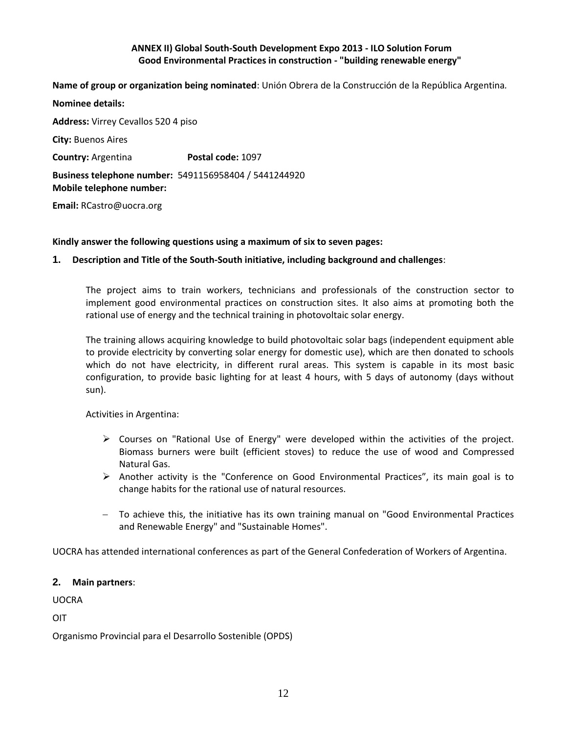## **ANNEX II) Global South-South Development Expo 2013 - ILO Solution Forum Good Environmental Practices in construction - "building renewable energy"**

**Name of group or organization being nominated**: Unión Obrera de la Construcción de la República Argentina*.* **Nominee details: Address:** Virrey Cevallos 520 4 piso **City:** Buenos Aires **Country:** Argentina **Postal code:** 1097 **Business telephone number:** 5491156958404 / 5441244920 **Mobile telephone number:** 

**Email:** RCastro@uocra.org

### **Kindly answer the following questions using a maximum of six to seven pages:**

## **1. Description and Title of the South-South initiative, including background and challenges**:

The project aims to train workers, technicians and professionals of the construction sector to implement good environmental practices on construction sites. It also aims at promoting both the rational use of energy and the technical training in photovoltaic solar energy.

The training allows acquiring knowledge to build photovoltaic solar bags (independent equipment able to provide electricity by converting solar energy for domestic use), which are then donated to schools which do not have electricity, in different rural areas. This system is capable in its most basic configuration, to provide basic lighting for at least 4 hours, with 5 days of autonomy (days without sun).

Activities in Argentina:

- $\triangleright$  Courses on "Rational Use of Energy" were developed within the activities of the project. Biomass burners were built (efficient stoves) to reduce the use of wood and Compressed Natural Gas.
- $\triangleright$  Another activity is the "Conference on Good Environmental Practices", its main goal is to change habits for the rational use of natural resources.
- To achieve this, the initiative has its own training manual on "Good Environmental Practices and Renewable Energy" and "Sustainable Homes".

UOCRA has attended international conferences as part of the General Confederation of Workers of Argentina.

### **2. Main partners**:

UOCRA

OIT

Organismo Provincial para el Desarrollo Sostenible (OPDS)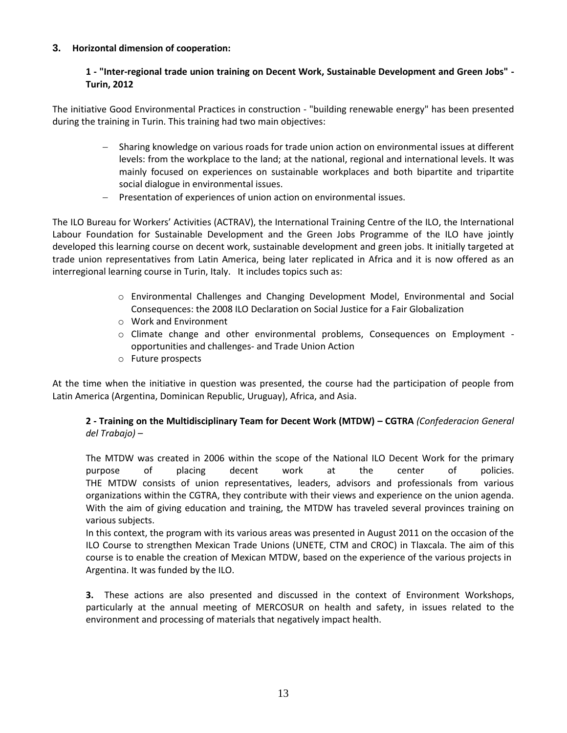## **3. Horizontal dimension of cooperation:**

## **1 - "Inter-regional trade union training on Decent Work, Sustainable Development and Green Jobs" - Turin, 2012**

The initiative Good Environmental Practices in construction - "building renewable energy" has been presented during the training in Turin. This training had two main objectives:

- Sharing knowledge on various roads for trade union action on environmental issues at different levels: from the workplace to the land; at the national, regional and international levels. It was mainly focused on experiences on sustainable workplaces and both bipartite and tripartite social dialogue in environmental issues.
- Presentation of experiences of union action on environmental issues.

The ILO Bureau for Workers' Activities (ACTRAV), the International Training Centre of the ILO, the International Labour Foundation for Sustainable Development and the Green Jobs Programme of the ILO have jointly developed this learning course on decent work, sustainable development and green jobs. It initially targeted at trade union representatives from Latin America, being later replicated in Africa and it is now offered as an interregional learning course in Turin, Italy. It includes topics such as:

- o Environmental Challenges and Changing Development Model, Environmental and Social Consequences: the 2008 ILO Declaration on Social Justice for a Fair Globalization
- o Work and Environment
- o Climate change and other environmental problems, Consequences on Employment opportunities and challenges- and Trade Union Action
- o Future prospects

At the time when the initiative in question was presented, the course had the participation of people from Latin America (Argentina, Dominican Republic, Uruguay), Africa, and Asia.

**2 - Training on the Multidisciplinary Team for Decent Work (MTDW) – CGTRA** *(Confederacion General del Trabajo) –*

The MTDW was created in 2006 within the scope of the National ILO Decent Work for the primary purpose of placing decent work at the center of policies. THE MTDW consists of union representatives, leaders, advisors and professionals from various organizations within the CGTRA, they contribute with their views and experience on the union agenda. With the aim of giving education and training, the MTDW has traveled several provinces training on various subjects.

In this context, the program with its various areas was presented in August 2011 on the occasion of the ILO Course to strengthen Mexican Trade Unions (UNETE, CTM and CROC) in Tlaxcala. The aim of this course is to enable the creation of Mexican MTDW, based on the experience of the various projects in Argentina. It was funded by the ILO.

**3.** These actions are also presented and discussed in the context of Environment Workshops, particularly at the annual meeting of MERCOSUR on health and safety, in issues related to the environment and processing of materials that negatively impact health.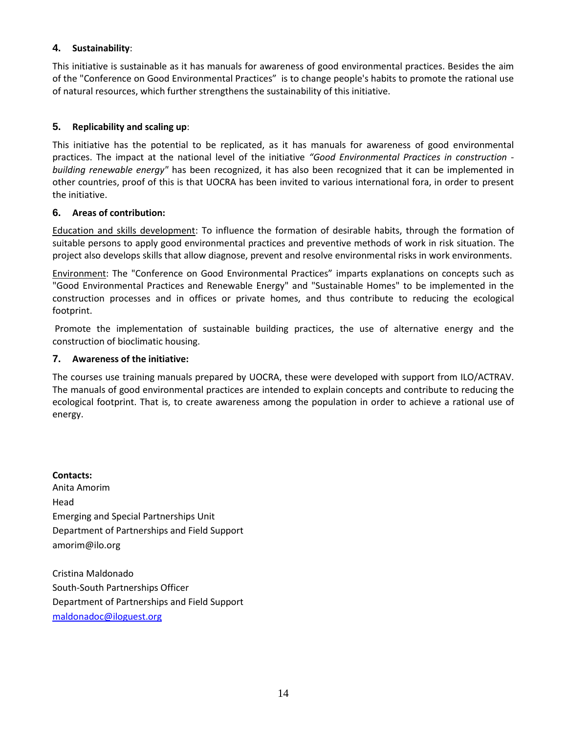## **4. Sustainability**:

This initiative is sustainable as it has manuals for awareness of good environmental practices. Besides the aim of the "Conference on Good Environmental Practices" is to change people's habits to promote the rational use of natural resources, which further strengthens the sustainability of this initiative.

# **5. Replicability and scaling up**:

This initiative has the potential to be replicated, as it has manuals for awareness of good environmental practices. The impact at the national level of the initiative *"Good Environmental Practices in construction building renewable energy"* has been recognized, it has also been recognized that it can be implemented in other countries, proof of this is that UOCRA has been invited to various international fora, in order to present the initiative.

## **6. Areas of contribution:**

Education and skills development: To influence the formation of desirable habits, through the formation of suitable persons to apply good environmental practices and preventive methods of work in risk situation. The project also develops skills that allow diagnose, prevent and resolve environmental risks in work environments.

Environment: The "Conference on Good Environmental Practices" imparts explanations on concepts such as "Good Environmental Practices and Renewable Energy" and "Sustainable Homes" to be implemented in the construction processes and in offices or private homes, and thus contribute to reducing the ecological footprint.

Promote the implementation of sustainable building practices, the use of alternative energy and the construction of bioclimatic housing.

## **7. Awareness of the initiative:**

The courses use training manuals prepared by UOCRA, these were developed with support from ILO/ACTRAV. The manuals of good environmental practices are intended to explain concepts and contribute to reducing the ecological footprint. That is, to create awareness among the population in order to achieve a rational use of energy.

**Contacts:**  Anita Amorim Head Emerging and Special Partnerships Unit Department of Partnerships and Field Support [amorim@ilo.org](mailto:amorim@ilo.org)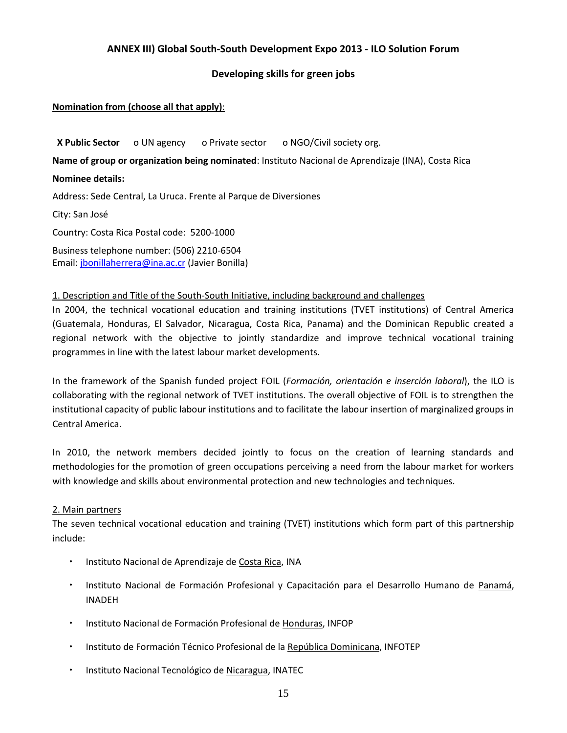## **ANNEX III) Global South-South Development Expo 2013 - ILO Solution Forum**

# **Developing skills for green jobs**

## **Nomination from (choose all that apply)**:

**X Public Sector** o UN agency o Private sector o NGO/Civil society org.

**Name of group or organization being nominated**: Instituto Nacional de Aprendizaje (INA), Costa Rica **Nominee details:**

Address: Sede Central, La Uruca. Frente al Parque de Diversiones

City: San José

Country: Costa Rica Postal code: 5200-1000

Business telephone number: (506) 2210-6504 Email: [jbonillaherrera@ina.ac.cr](mailto:jbonillaherrera@ina.ac.cr) (Javier Bonilla)

## 1. Description and Title of the South-South Initiative, including background and challenges

In 2004, the technical vocational education and training institutions (TVET institutions) of Central America (Guatemala, Honduras, El Salvador, Nicaragua, Costa Rica, Panama) and the Dominican Republic created a regional network with the objective to jointly standardize and improve technical vocational training programmes in line with the latest labour market developments.

In the framework of the Spanish funded project FOIL (*Formación, orientación e inserción laboral*), the ILO is collaborating with the regional network of TVET institutions. The overall objective of FOIL is to strengthen the institutional capacity of public labour institutions and to facilitate the labour insertion of marginalized groups in Central America.

In 2010, the network members decided jointly to focus on the creation of learning standards and methodologies for the promotion of green occupations perceiving a need from the labour market for workers with knowledge and skills about environmental protection and new technologies and techniques.

### 2. Main partners

The seven technical vocational education and training (TVET) institutions which form part of this partnership include:

- $\cdot$  Instituto Nacional de Aprendizaje de Costa Rica, INA
- **·** Instituto Nacional de Formación Profesional y Capacitación para el Desarrollo Humano de Panamá, INADEH
- $\cdot$  Instituto Nacional de Formación Profesional de Honduras, INFOP
- Instituto de Formación Técnico Profesional de la República Dominicana, INFOTEP
- · Instituto Nacional Tecnológico de Nicaragua, INATEC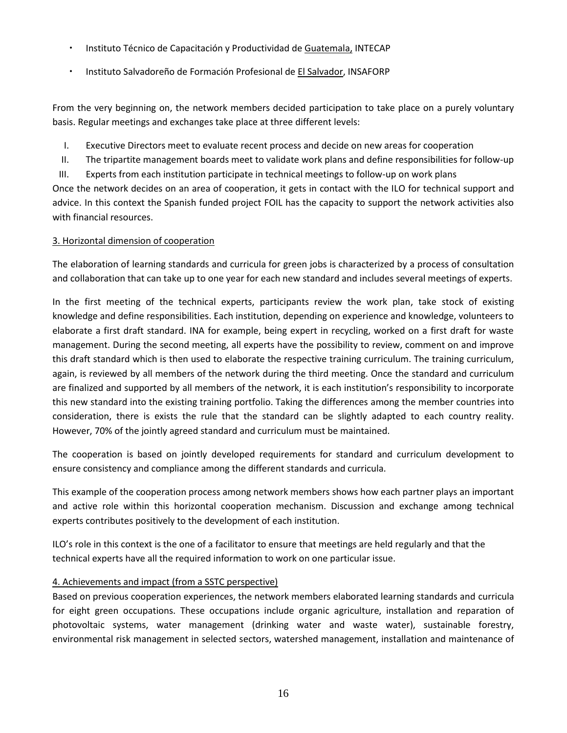- Instituto Técnico de Capacitación y Productividad de Guatemala, INTECAP
- Instituto Salvadoreño de Formación Profesional de El Salvador, INSAFORP

From the very beginning on, the network members decided participation to take place on a purely voluntary basis. Regular meetings and exchanges take place at three different levels:

- I. Executive Directors meet to evaluate recent process and decide on new areas for cooperation
- II. The tripartite management boards meet to validate work plans and define responsibilities for follow-up

III. Experts from each institution participate in technical meetings to follow-up on work plans

Once the network decides on an area of cooperation, it gets in contact with the ILO for technical support and advice. In this context the Spanish funded project FOIL has the capacity to support the network activities also with financial resources.

## 3. Horizontal dimension of cooperation

The elaboration of learning standards and curricula for green jobs is characterized by a process of consultation and collaboration that can take up to one year for each new standard and includes several meetings of experts.

In the first meeting of the technical experts, participants review the work plan, take stock of existing knowledge and define responsibilities. Each institution, depending on experience and knowledge, volunteers to elaborate a first draft standard. INA for example, being expert in recycling, worked on a first draft for waste management. During the second meeting, all experts have the possibility to review, comment on and improve this draft standard which is then used to elaborate the respective training curriculum. The training curriculum, again, is reviewed by all members of the network during the third meeting. Once the standard and curriculum are finalized and supported by all members of the network, it is each institution's responsibility to incorporate this new standard into the existing training portfolio. Taking the differences among the member countries into consideration, there is exists the rule that the standard can be slightly adapted to each country reality. However, 70% of the jointly agreed standard and curriculum must be maintained.

The cooperation is based on jointly developed requirements for standard and curriculum development to ensure consistency and compliance among the different standards and curricula.

This example of the cooperation process among network members shows how each partner plays an important and active role within this horizontal cooperation mechanism. Discussion and exchange among technical experts contributes positively to the development of each institution.

ILO's role in this context is the one of a facilitator to ensure that meetings are held regularly and that the technical experts have all the required information to work on one particular issue.

## 4. Achievements and impact (from a SSTC perspective)

Based on previous cooperation experiences, the network members elaborated learning standards and curricula for eight green occupations. These occupations include organic agriculture, installation and reparation of photovoltaic systems, water management (drinking water and waste water), sustainable forestry, environmental risk management in selected sectors, watershed management, installation and maintenance of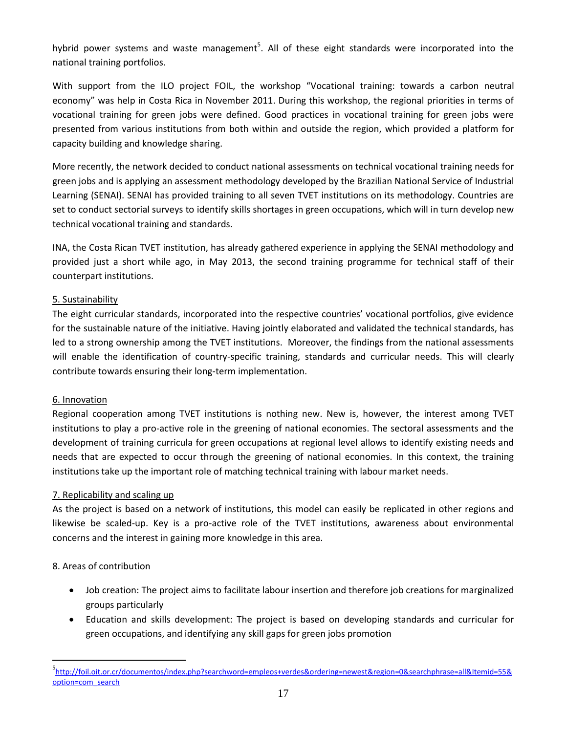hybrid power systems and waste management<sup>5</sup>. All of these eight standards were incorporated into the national training portfolios.

With support from the ILO project FOIL, the workshop "Vocational training: towards a carbon neutral economy" was help in Costa Rica in November 2011. During this workshop, the regional priorities in terms of vocational training for green jobs were defined. Good practices in vocational training for green jobs were presented from various institutions from both within and outside the region, which provided a platform for capacity building and knowledge sharing.

More recently, the network decided to conduct national assessments on technical vocational training needs for green jobs and is applying an assessment methodology developed by the Brazilian National Service of Industrial Learning (SENAI). SENAI has provided training to all seven TVET institutions on its methodology. Countries are set to conduct sectorial surveys to identify skills shortages in green occupations, which will in turn develop new technical vocational training and standards.

INA, the Costa Rican TVET institution, has already gathered experience in applying the SENAI methodology and provided just a short while ago, in May 2013, the second training programme for technical staff of their counterpart institutions.

## 5. Sustainability

The eight curricular standards, incorporated into the respective countries' vocational portfolios, give evidence for the sustainable nature of the initiative. Having jointly elaborated and validated the technical standards, has led to a strong ownership among the TVET institutions. Moreover, the findings from the national assessments will enable the identification of country-specific training, standards and curricular needs. This will clearly contribute towards ensuring their long-term implementation.

### 6. Innovation

Regional cooperation among TVET institutions is nothing new. New is, however, the interest among TVET institutions to play a pro-active role in the greening of national economies. The sectoral assessments and the development of training curricula for green occupations at regional level allows to identify existing needs and needs that are expected to occur through the greening of national economies. In this context, the training institutions take up the important role of matching technical training with labour market needs.

## 7. Replicability and scaling up

As the project is based on a network of institutions, this model can easily be replicated in other regions and likewise be scaled-up. Key is a pro-active role of the TVET institutions, awareness about environmental concerns and the interest in gaining more knowledge in this area.

## 8. Areas of contribution

 $\overline{a}$ 

- Job creation: The project aims to facilitate labour insertion and therefore job creations for marginalized groups particularly
- Education and skills development: The project is based on developing standards and curricular for green occupations, and identifying any skill gaps for green jobs promotion

<sup>&</sup>lt;sup>5</sup>[http://foil.oit.or.cr/documentos/index.php?searchword=empleos+verdes&ordering=newest&region=0&searchphrase=all&Itemid=55&](http://foil.oit.or.cr/documentos/index.php?searchword=empleos+verdes&ordering=newest®ion=0&searchphrase=all&Itemid=55&option=com_search) [option=com\\_search](http://foil.oit.or.cr/documentos/index.php?searchword=empleos+verdes&ordering=newest®ion=0&searchphrase=all&Itemid=55&option=com_search)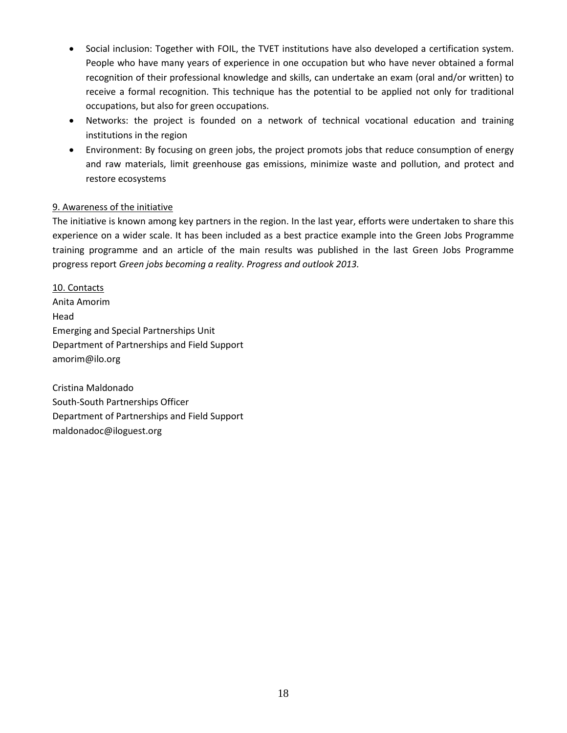- Social inclusion: Together with FOIL, the TVET institutions have also developed a certification system. People who have many years of experience in one occupation but who have never obtained a formal recognition of their professional knowledge and skills, can undertake an exam (oral and/or written) to receive a formal recognition. This technique has the potential to be applied not only for traditional occupations, but also for green occupations.
- Networks: the project is founded on a network of technical vocational education and training institutions in the region
- Environment: By focusing on green jobs, the project promots jobs that reduce consumption of energy and raw materials, limit greenhouse gas emissions, minimize waste and pollution, and protect and restore ecosystems

## 9. Awareness of the initiative

The initiative is known among key partners in the region. In the last year, efforts were undertaken to share this experience on a wider scale. It has been included as a best practice example into the Green Jobs Programme training programme and an article of the main results was published in the last Green Jobs Programme progress report *Green jobs becoming a reality. Progress and outlook 2013.* 

10. Contacts Anita Amorim Head Emerging and Special Partnerships Unit Department of Partnerships and Field Support [amorim@ilo.org](mailto:amorim@ilo.org)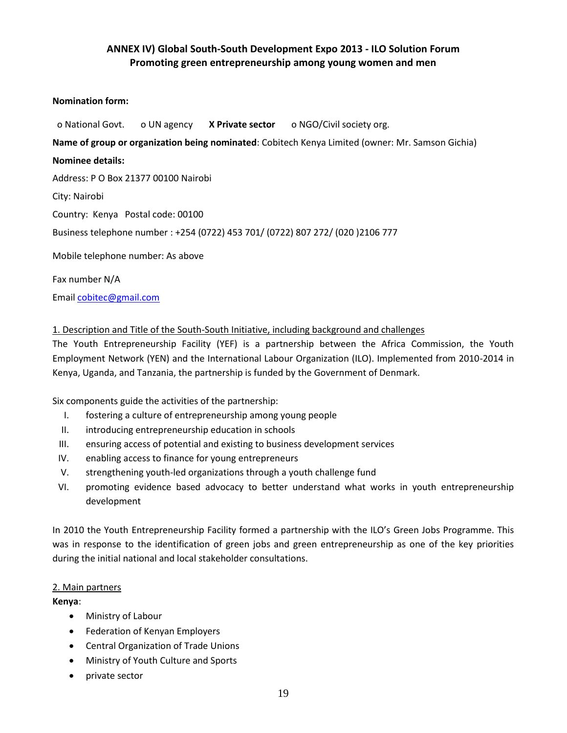# **ANNEX IV) Global South-South Development Expo 2013 - ILO Solution Forum Promoting green entrepreneurship among young women and men**

### **Nomination form:**

 o National Govt. o UN agency **X Private sector** o NGO/Civil society org. **Name of group or organization being nominated**: Cobitech Kenya Limited (owner: Mr. Samson Gichia) **Nominee details:** Address: P O Box 21377 00100 Nairobi City: Nairobi Country: Kenya Postal code: 00100 Business telephone number : +254 (0722) 453 701/ (0722) 807 272/ (020 )2106 777 Mobile telephone number: As above Fax number N/A Emai[l cobitec@gmail.com](mailto:cobitec@gmail.com)

### 1. Description and Title of the South-South Initiative, including background and challenges

The Youth Entrepreneurship Facility (YEF) is a partnership between the Africa Commission, the Youth Employment Network (YEN) and the International Labour Organization (ILO). Implemented from 2010-2014 in Kenya, Uganda, and Tanzania, the partnership is funded by the Government of Denmark.

Six components guide the activities of the partnership:

- I. fostering a culture of entrepreneurship among young people
- II. introducing entrepreneurship education in schools
- III. ensuring access of potential and existing to business development services
- IV. enabling access to finance for young entrepreneurs
- V. strengthening youth-led organizations through a youth challenge fund
- VI. promoting evidence based advocacy to better understand what works in youth entrepreneurship development

In 2010 the Youth Entrepreneurship Facility formed a partnership with the ILO's Green Jobs Programme. This was in response to the identification of green jobs and green entrepreneurship as one of the key priorities during the initial national and local stakeholder consultations.

#### 2. Main partners

### **Kenya**:

- Ministry of Labour
- Federation of Kenyan Employers
- Central Organization of Trade Unions
- Ministry of Youth Culture and Sports
- private sector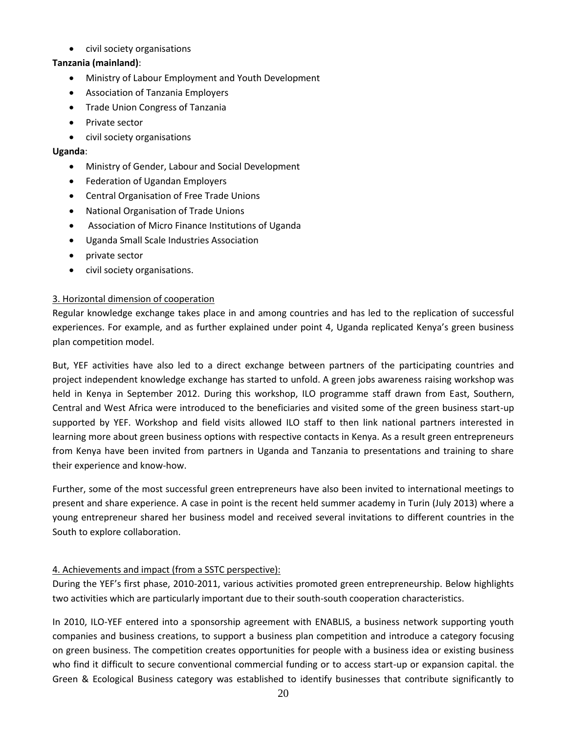civil society organisations

# **Tanzania (mainland)**:

- Ministry of Labour Employment and Youth Development
- Association of Tanzania Employers
- Trade Union Congress of Tanzania
- Private sector
- civil society organisations

## **Uganda**:

- Ministry of Gender, Labour and Social Development
- Federation of Ugandan Employers
- Central Organisation of Free Trade Unions
- National Organisation of Trade Unions
- Association of Micro Finance Institutions of Uganda
- Uganda Small Scale Industries Association
- private sector
- civil society organisations.

## 3. Horizontal dimension of cooperation

Regular knowledge exchange takes place in and among countries and has led to the replication of successful experiences. For example, and as further explained under point 4, Uganda replicated Kenya's green business plan competition model.

But, YEF activities have also led to a direct exchange between partners of the participating countries and project independent knowledge exchange has started to unfold. A green jobs awareness raising workshop was held in Kenya in September 2012. During this workshop, ILO programme staff drawn from East, Southern, Central and West Africa were introduced to the beneficiaries and visited some of the green business start-up supported by YEF. Workshop and field visits allowed ILO staff to then link national partners interested in learning more about green business options with respective contacts in Kenya. As a result green entrepreneurs from Kenya have been invited from partners in Uganda and Tanzania to presentations and training to share their experience and know-how.

Further, some of the most successful green entrepreneurs have also been invited to international meetings to present and share experience. A case in point is the recent held summer academy in Turin (July 2013) where a young entrepreneur shared her business model and received several invitations to different countries in the South to explore collaboration.

## 4. Achievements and impact (from a SSTC perspective):

During the YEF's first phase, 2010-2011, various activities promoted green entrepreneurship. Below highlights two activities which are particularly important due to their south-south cooperation characteristics.

In 2010, ILO-YEF entered into a sponsorship agreement with ENABLIS, a business network supporting youth companies and business creations, to support a business plan competition and introduce a category focusing on green business. The competition creates opportunities for people with a business idea or existing business who find it difficult to secure conventional commercial funding or to access start-up or expansion capital. the Green & Ecological Business category was established to identify businesses that contribute significantly to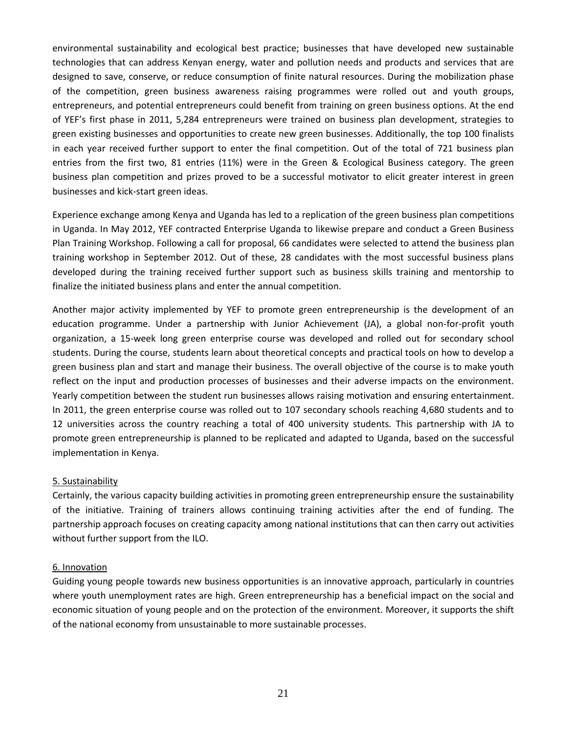environmental sustainability and ecological best practice; businesses that have developed new sustainable technologies that can address Kenyan energy, water and pollution needs and products and services that are designed to save, conserve, or reduce consumption of finite natural resources. During the mobilization phase of the competition, green business awareness raising programmes were rolled out and youth groups, entrepreneurs, and potential entrepreneurs could benefit from training on green business options. At the end of YEF's first phase in 2011, 5,284 entrepreneurs were trained on business plan development, strategies to green existing businesses and opportunities to create new green businesses. Additionally, the top 100 finalists in each year received further support to enter the final competition. Out of the total of 721 business plan entries from the first two, 81 entries (11%) were in the Green & Ecological Business category. The green business plan competition and prizes proved to be a successful motivator to elicit greater interest in green businesses and kick-start green ideas.

Experience exchange among Kenya and Uganda has led to a replication of the green business plan competitions in Uganda. In May 2012, YEF contracted Enterprise Uganda to likewise prepare and conduct a Green Business Plan Training Workshop. Following a call for proposal, 66 candidates were selected to attend the business plan training workshop in September 2012. Out of these, 28 candidates with the most successful business plans developed during the training received further support such as business skills training and mentorship to finalize the initiated business plans and enter the annual competition.

Another major activity implemented by YEF to promote green entrepreneurship is the development of an education programme. Under a partnership with Junior Achievement (JA), a global non-for-profit youth organization, a 15-week long green enterprise course was developed and rolled out for secondary school students. During the course, students learn about theoretical concepts and practical tools on how to develop a green business plan and start and manage their business. The overall objective of the course is to make youth reflect on the input and production processes of businesses and their adverse impacts on the environment. Yearly competition between the student run businesses allows raising motivation and ensuring entertainment. In 2011, the green enterprise course was rolled out to 107 secondary schools reaching 4,680 students and to 12 universities across the country reaching a total of 400 university students. This partnership with JA to promote green entrepreneurship is planned to be replicated and adapted to Uganda, based on the successful implementation in Kenya.

### 5. Sustainability

Certainly, the various capacity building activities in promoting green entrepreneurship ensure the sustainability of the initiative. Training of trainers allows continuing training activities after the end of funding. The partnership approach focuses on creating capacity among national institutions that can then carry out activities without further support from the ILO.

### 6. Innovation

Guiding young people towards new business opportunities is an innovative approach, particularly in countries where youth unemployment rates are high. Green entrepreneurship has a beneficial impact on the social and economic situation of young people and on the protection of the environment. Moreover, it supports the shift of the national economy from unsustainable to more sustainable processes.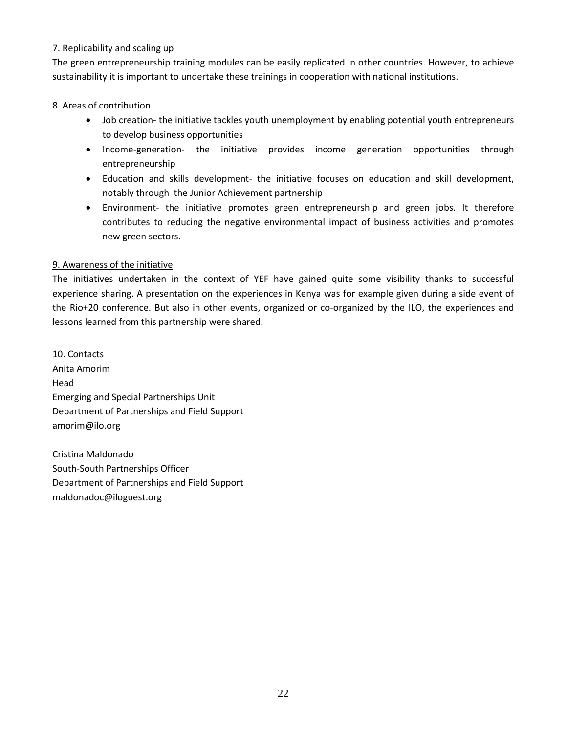## 7. Replicability and scaling up

The green entrepreneurship training modules can be easily replicated in other countries. However, to achieve sustainability it is important to undertake these trainings in cooperation with national institutions.

## 8. Areas of contribution

- Job creation- the initiative tackles youth unemployment by enabling potential youth entrepreneurs to develop business opportunities
- Income-generation- the initiative provides income generation opportunities through entrepreneurship
- Education and skills development- the initiative focuses on education and skill development, notably through the Junior Achievement partnership
- Environment- the initiative promotes green entrepreneurship and green jobs. It therefore contributes to reducing the negative environmental impact of business activities and promotes new green sectors.

## 9. Awareness of the initiative

The initiatives undertaken in the context of YEF have gained quite some visibility thanks to successful experience sharing. A presentation on the experiences in Kenya was for example given during a side event of the Rio+20 conference. But also in other events, organized or co-organized by the ILO, the experiences and lessons learned from this partnership were shared.

10. Contacts Anita Amorim Head Emerging and Special Partnerships Unit Department of Partnerships and Field Support [amorim@ilo.org](mailto:amorim@ilo.org)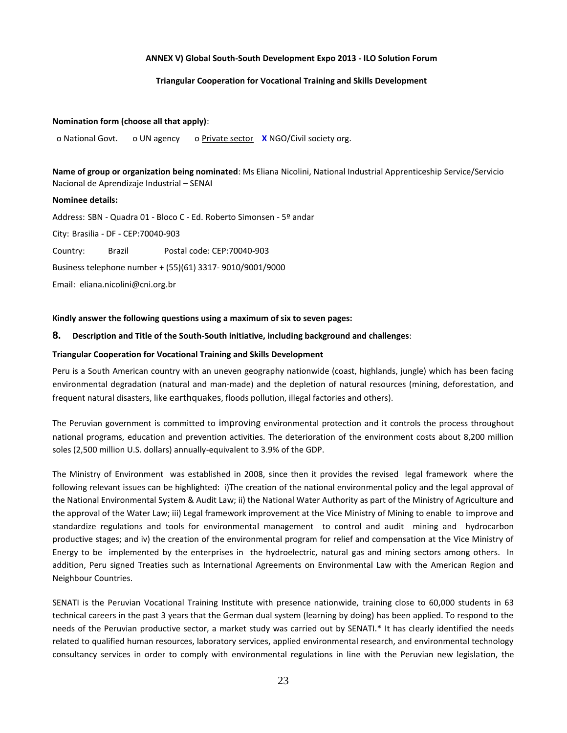#### **ANNEX V) Global South-South Development Expo 2013 - ILO Solution Forum**

#### **Triangular Cooperation for Vocational Training and Skills Development**

#### **Nomination form (choose all that apply)**:

o National Govt. o UN agency o Private sector **X** NGO/Civil society org.

**Name of group or organization being nominated**: Ms Eliana Nicolini, National Industrial Apprenticeship Service/Servicio Nacional de Aprendizaje Industrial – SENAI

#### **Nominee details:**

Address: SBN - Quadra 01 - Bloco C - Ed. Roberto Simonsen - 5º andar City: Brasilia - DF - CEP:70040-903 Country: Brazil Postal code: CEP:70040-903 Business telephone number + (55)(61) 3317- 9010/9001/9000 Email: eliana.nicolini@cni.org.br

#### **Kindly answer the following questions using a maximum of six to seven pages:**

#### **8. Description and Title of the South-South initiative, including background and challenges**:

#### **Triangular Cooperation for Vocational Training and Skills Development**

Peru is a South American country with an uneven geography nationwide (coast, highlands, jungle) which has been facing environmental degradation (natural and man-made) and the depletion of natural resources (mining, deforestation, and frequent natural disasters, like earthquakes, floods pollution, illegal factories and others).

The Peruvian government is committed to improving environmental protection and it controls the process throughout national programs, education and prevention activities. The deterioration of the environment costs about 8,200 million soles (2,500 million U.S. dollars) annually-equivalent to 3.9% of the GDP.

The Ministry of Environment was established in 2008, since then it provides the revised legal framework where the following relevant issues can be highlighted: i)The creation of the national environmental policy and the legal approval of the National Environmental System & Audit Law; ii) the National Water Authority as part of the Ministry of Agriculture and the approval of the Water Law; iii) Legal framework improvement at the Vice Ministry of Mining to enable to improve and standardize regulations and tools for environmental management to control and audit mining and hydrocarbon productive stages; and iv) the creation of the environmental program for relief and compensation at the Vice Ministry of Energy to be implemented by the enterprises in the hydroelectric, natural gas and mining sectors among others. In addition, Peru signed Treaties such as International Agreements on Environmental Law with the American Region and Neighbour Countries.

SENATI is the Peruvian Vocational Training Institute with presence nationwide, training close to 60,000 students in 63 technical careers in the past 3 years that the German dual system (learning by doing) has been applied. To respond to the needs of the Peruvian productive sector, a market study was carried out by SENATI.\* It has clearly identified the needs related to qualified human resources, laboratory services, applied environmental research, and environmental technology consultancy services in order to comply with environmental regulations in line with the Peruvian new legislation, the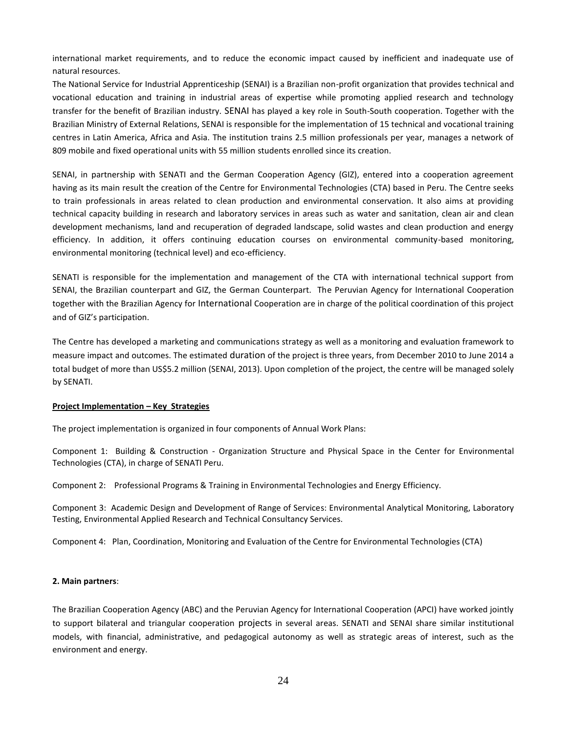international market requirements, and to reduce the economic impact caused by inefficient and inadequate use of natural resources.

The National Service for Industrial Apprenticeship (SENAI) is a Brazilian non-profit organization that provides technical and vocational education and training in industrial areas of expertise while promoting applied research and technology transfer for the benefit of Brazilian industry. SENAI has played a key role in South-South cooperation. Together with the Brazilian Ministry of External Relations, SENAI is responsible for the implementation of 15 technical and vocational training centres in Latin America, Africa and Asia. The institution trains 2.5 million professionals per year, manages a network of 809 mobile and fixed operational units with 55 million students enrolled since its creation.

SENAI, in partnership with SENATI and the German Cooperation Agency (GIZ), entered into a cooperation agreement having as its main result the creation of the Centre for Environmental Technologies (CTA) based in Peru. The Centre seeks to train professionals in areas related to clean production and environmental conservation. It also aims at providing technical capacity building in research and laboratory services in areas such as water and sanitation, clean air and clean development mechanisms, land and recuperation of degraded landscape, solid wastes and clean production and energy efficiency. In addition, it offers continuing education courses on environmental community-based monitoring, environmental monitoring (technical level) and eco-efficiency.

SENATI is responsible for the implementation and management of the CTA with international technical support from SENAI, the Brazilian counterpart and GIZ, the German Counterpart. The Peruvian Agency for International Cooperation together with the Brazilian Agency for International Cooperation are in charge of the political coordination of this project and of GIZ's participation.

The Centre has developed a marketing and communications strategy as well as a monitoring and evaluation framework to measure impact and outcomes. The estimated duration of the project is three years, from December 2010 to June 2014 a total budget of more than US\$5.2 million (SENAI, 2013). Upon completion of the project, the centre will be managed solely by SENATI.

#### **Project Implementation – Key Strategies**

The project implementation is organized in four components of Annual Work Plans:

Component 1: Building & Construction - Organization Structure and Physical Space in the Center for Environmental Technologies (CTA), in charge of SENATI Peru.

Component 2: Professional Programs & Training in Environmental Technologies and Energy Efficiency.

Component 3: Academic Design and Development of Range of Services: Environmental Analytical Monitoring, Laboratory Testing, Environmental Applied Research and Technical Consultancy Services.

Component 4: Plan, Coordination, Monitoring and Evaluation of the Centre for Environmental Technologies (CTA)

#### **2. Main partners**:

The Brazilian Cooperation Agency (ABC) and the Peruvian Agency for International Cooperation (APCI) have worked jointly to support bilateral and triangular cooperation projects in several areas. SENATI and SENAI share similar institutional models, with financial, administrative, and pedagogical autonomy as well as strategic areas of interest, such as the environment and energy.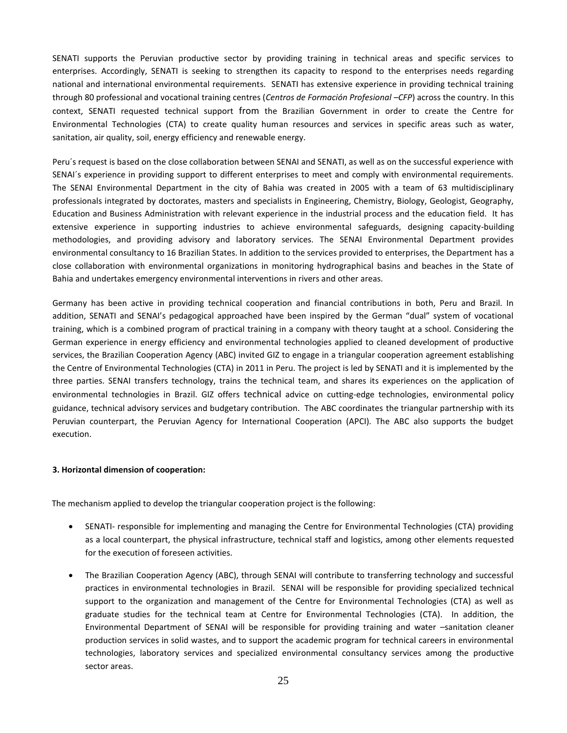SENATI supports the Peruvian productive sector by providing training in technical areas and specific services to enterprises. Accordingly, SENATI is seeking to strengthen its capacity to respond to the enterprises needs regarding national and international environmental requirements. SENATI has extensive experience in providing technical training through 80 professional and vocational training centres (*Centros de Formación Profesional –CFP*) across the country. In this context, SENATI requested technical support from the Brazilian Government in order to create the Centre for Environmental Technologies (CTA) to create quality human resources and services in specific areas such as water, sanitation, air quality, soil, energy efficiency and renewable energy.

Peru´s request is based on the close collaboration between SENAI and SENATI, as well as on the successful experience with SENAI´s experience in providing support to different enterprises to meet and comply with environmental requirements. The SENAI Environmental Department in the city of Bahia was created in 2005 with a team of 63 multidisciplinary professionals integrated by doctorates, masters and specialists in Engineering, Chemistry, Biology, Geologist, Geography, Education and Business Administration with relevant experience in the industrial process and the education field. It has extensive experience in supporting industries to achieve environmental safeguards, designing capacity-building methodologies, and providing advisory and laboratory services. The SENAI Environmental Department provides environmental consultancy to 16 Brazilian States. In addition to the services provided to enterprises, the Department has a close collaboration with environmental organizations in monitoring hydrographical basins and beaches in the State of Bahia and undertakes emergency environmental interventions in rivers and other areas.

Germany has been active in providing technical cooperation and financial contributions in both, Peru and Brazil. In addition, SENATI and SENAI's pedagogical approached have been inspired by the German "dual" system of vocational training, which is a combined program of practical training in a company with theory taught at a school. Considering the German experience in energy efficiency and environmental technologies applied to cleaned development of productive services, the Brazilian Cooperation Agency (ABC) invited GIZ to engage in a triangular cooperation agreement establishing the Centre of Environmental Technologies (CTA) in 2011 in Peru. The project is led by SENATI and it is implemented by the three parties. SENAI transfers technology, trains the technical team, and shares its experiences on the application of environmental technologies in Brazil. GIZ offers technical advice on cutting-edge technologies, environmental policy guidance, technical advisory services and budgetary contribution. The ABC coordinates the triangular partnership with its Peruvian counterpart, the Peruvian Agency for International Cooperation (APCI). The ABC also supports the budget execution.

#### **3. Horizontal dimension of cooperation:**

The mechanism applied to develop the triangular cooperation project is the following:

- SENATI- responsible for implementing and managing the Centre for Environmental Technologies (CTA) providing as a local counterpart, the physical infrastructure, technical staff and logistics, among other elements requested for the execution of foreseen activities.
- The Brazilian Cooperation Agency (ABC), through SENAI will contribute to transferring technology and successful practices in environmental technologies in Brazil. SENAI will be responsible for providing specialized technical support to the organization and management of the Centre for Environmental Technologies (CTA) as well as graduate studies for the technical team at Centre for Environmental Technologies (CTA). In addition, the Environmental Department of SENAI will be responsible for providing training and water –sanitation cleaner production services in solid wastes, and to support the academic program for technical careers in environmental technologies, laboratory services and specialized environmental consultancy services among the productive sector areas.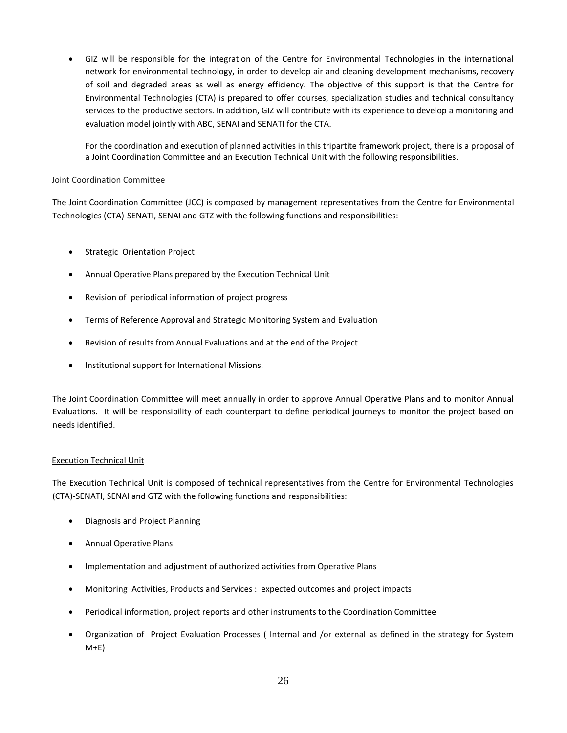GIZ will be responsible for the integration of the Centre for Environmental Technologies in the international network for environmental technology, in order to develop air and cleaning development mechanisms, recovery of soil and degraded areas as well as energy efficiency. The objective of this support is that the Centre for Environmental Technologies (CTA) is prepared to offer courses, specialization studies and technical consultancy services to the productive sectors. In addition, GIZ will contribute with its experience to develop a monitoring and evaluation model jointly with ABC, SENAI and SENATI for the CTA.

For the coordination and execution of planned activities in this tripartite framework project, there is a proposal of a Joint Coordination Committee and an Execution Technical Unit with the following responsibilities.

#### Joint Coordination Committee

The Joint Coordination Committee (JCC) is composed by management representatives from the Centre for Environmental Technologies (CTA)-SENATI, SENAI and GTZ with the following functions and responsibilities:

- **•** Strategic Orientation Project
- Annual Operative Plans prepared by the Execution Technical Unit
- Revision of periodical information of project progress
- Terms of Reference Approval and Strategic Monitoring System and Evaluation
- Revision of results from Annual Evaluations and at the end of the Project
- Institutional support for International Missions.

The Joint Coordination Committee will meet annually in order to approve Annual Operative Plans and to monitor Annual Evaluations. It will be responsibility of each counterpart to define periodical journeys to monitor the project based on needs identified.

#### Execution Technical Unit

The Execution Technical Unit is composed of technical representatives from the Centre for Environmental Technologies (CTA)-SENATI, SENAI and GTZ with the following functions and responsibilities:

- Diagnosis and Project Planning
- Annual Operative Plans
- Implementation and adjustment of authorized activities from Operative Plans
- Monitoring Activities, Products and Services : expected outcomes and project impacts
- Periodical information, project reports and other instruments to the Coordination Committee
- Organization of Project Evaluation Processes ( Internal and /or external as defined in the strategy for System M+E)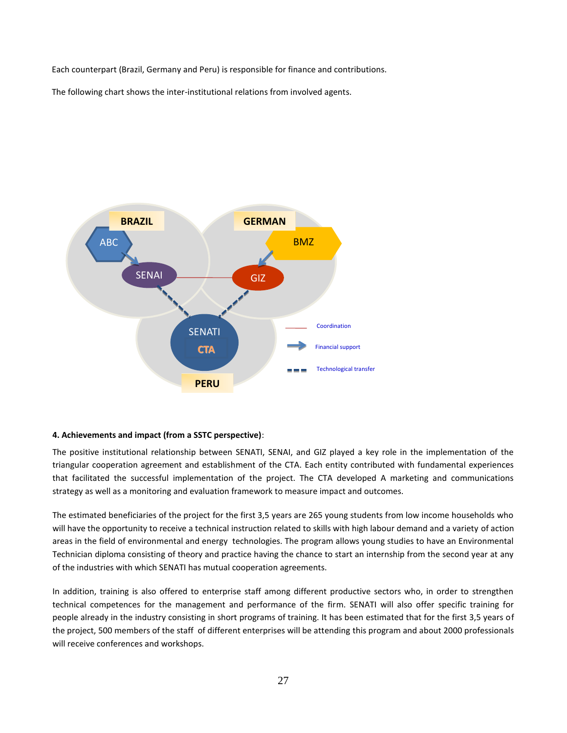Each counterpart (Brazil, Germany and Peru) is responsible for finance and contributions.

The following chart shows the inter-institutional relations from involved agents.



#### **4. Achievements and impact (from a SSTC perspective)**:

The positive institutional relationship between SENATI, SENAI, and GIZ played a key role in the implementation of the triangular cooperation agreement and establishment of the CTA. Each entity contributed with fundamental experiences that facilitated the successful implementation of the project. The CTA developed A marketing and communications strategy as well as a monitoring and evaluation framework to measure impact and outcomes.

The estimated beneficiaries of the project for the first 3,5 years are 265 young students from low income households who will have the opportunity to receive a technical instruction related to skills with high labour demand and a variety of action areas in the field of environmental and energy technologies. The program allows young studies to have an Environmental Technician diploma consisting of theory and practice having the chance to start an internship from the second year at any of the industries with which SENATI has mutual cooperation agreements.

In addition, training is also offered to enterprise staff among different productive sectors who, in order to strengthen technical competences for the management and performance of the firm. SENATI will also offer specific training for people already in the industry consisting in short programs of training. It has been estimated that for the first 3,5 years of the project, 500 members of the staff of different enterprises will be attending this program and about 2000 professionals will receive conferences and workshops.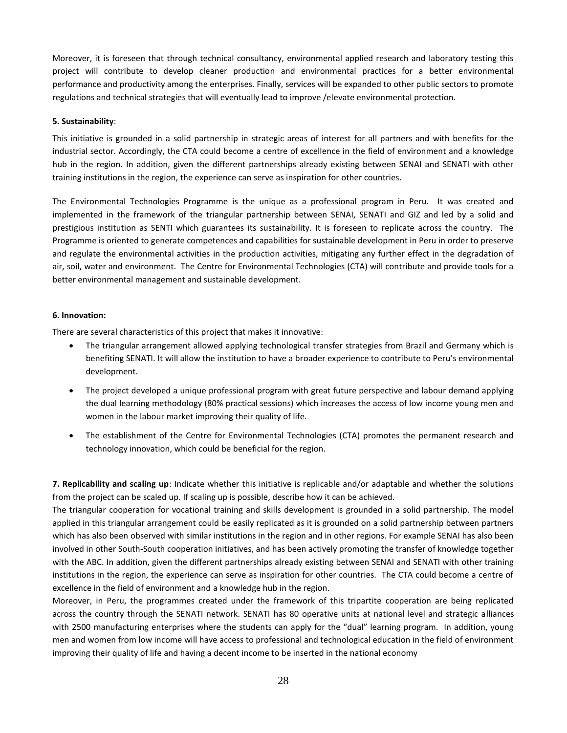Moreover, it is foreseen that through technical consultancy, environmental applied research and laboratory testing this project will contribute to develop cleaner production and environmental practices for a better environmental performance and productivity among the enterprises. Finally, services will be expanded to other public sectors to promote regulations and technical strategies that will eventually lead to improve /elevate environmental protection.

#### **5. Sustainability**:

This initiative is grounded in a solid partnership in strategic areas of interest for all partners and with benefits for the industrial sector. Accordingly, the CTA could become a centre of excellence in the field of environment and a knowledge hub in the region. In addition, given the different partnerships already existing between SENAI and SENATI with other training institutions in the region, the experience can serve as inspiration for other countries.

The Environmental Technologies Programme is the unique as a professional program in Peru. It was created and implemented in the framework of the triangular partnership between SENAI, SENATI and GIZ and led by a solid and prestigious institution as SENTI which guarantees its sustainability. It is foreseen to replicate across the country. The Programme is oriented to generate competences and capabilities for sustainable development in Peru in order to preserve and regulate the environmental activities in the production activities, mitigating any further effect in the degradation of air, soil, water and environment. The Centre for Environmental Technologies (CTA) will contribute and provide tools for a better environmental management and sustainable development.

#### **6. Innovation:**

There are several characteristics of this project that makes it innovative:

- The triangular arrangement allowed applying technological transfer strategies from Brazil and Germany which is benefiting SENATI. It will allow the institution to have a broader experience to contribute to Peru's environmental development.
- The project developed a unique professional program with great future perspective and labour demand applying the dual learning methodology (80% practical sessions) which increases the access of low income young men and women in the labour market improving their quality of life.
- The establishment of the Centre for Environmental Technologies (CTA) promotes the permanent research and technology innovation, which could be beneficial for the region.

**7. Replicability and scaling up**: Indicate whether this initiative is replicable and/or adaptable and whether the solutions from the project can be scaled up. If scaling up is possible, describe how it can be achieved.

The triangular cooperation for vocational training and skills development is grounded in a solid partnership. The model applied in this triangular arrangement could be easily replicated as it is grounded on a solid partnership between partners which has also been observed with similar institutions in the region and in other regions. For example SENAI has also been involved in other South-South cooperation initiatives, and has been actively promoting the transfer of knowledge together with the ABC. In addition, given the different partnerships already existing between SENAI and SENATI with other training institutions in the region, the experience can serve as inspiration for other countries. The CTA could become a centre of excellence in the field of environment and a knowledge hub in the region.

Moreover, in Peru, the programmes created under the framework of this tripartite cooperation are being replicated across the country through the SENATI network. SENATI has 80 operative units at national level and strategic alliances with 2500 manufacturing enterprises where the students can apply for the "dual" learning program. In addition, young men and women from low income will have access to professional and technological education in the field of environment improving their quality of life and having a decent income to be inserted in the national economy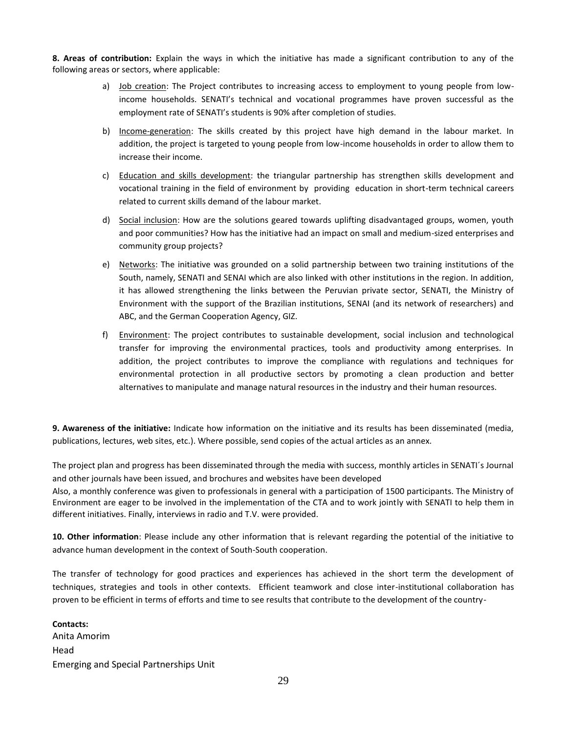**8. Areas of contribution:** Explain the ways in which the initiative has made a significant contribution to any of the following areas or sectors, where applicable:

- a) Job creation: The Project contributes to increasing access to employment to young people from lowincome households. SENATI's technical and vocational programmes have proven successful as the employment rate of SENATI's students is 90% after completion of studies.
- b) Income-generation: The skills created by this project have high demand in the labour market. In addition, the project is targeted to young people from low-income households in order to allow them to increase their income.
- c) Education and skills development: the triangular partnership has strengthen skills development and vocational training in the field of environment by providing education in short-term technical careers related to current skills demand of the labour market.
- d) Social inclusion: How are the solutions geared towards uplifting disadvantaged groups, women, youth and poor communities? How has the initiative had an impact on small and medium-sized enterprises and community group projects?
- e) Networks: The initiative was grounded on a solid partnership between two training institutions of the South, namely, SENATI and SENAI which are also linked with other institutions in the region. In addition, it has allowed strengthening the links between the Peruvian private sector, SENATI, the Ministry of Environment with the support of the Brazilian institutions, SENAI (and its network of researchers) and ABC, and the German Cooperation Agency, GIZ.
- f) Environment: The project contributes to sustainable development, social inclusion and technological transfer for improving the environmental practices, tools and productivity among enterprises. In addition, the project contributes to improve the compliance with regulations and techniques for environmental protection in all productive sectors by promoting a clean production and better alternatives to manipulate and manage natural resources in the industry and their human resources.

**9. Awareness of the initiative:** Indicate how information on the initiative and its results has been disseminated (media, publications, lectures, web sites, etc.). Where possible, send copies of the actual articles as an annex.

The project plan and progress has been disseminated through the media with success, monthly articles in SENATI´s Journal and other journals have been issued, and brochures and websites have been developed

Also, a monthly conference was given to professionals in general with a participation of 1500 participants. The Ministry of Environment are eager to be involved in the implementation of the CTA and to work jointly with SENATI to help them in different initiatives. Finally, interviews in radio and T.V. were provided.

**10. Other information**: Please include any other information that is relevant regarding the potential of the initiative to advance human development in the context of South-South cooperation.

The transfer of technology for good practices and experiences has achieved in the short term the development of techniques, strategies and tools in other contexts. Efficient teamwork and close inter-institutional collaboration has proven to be efficient in terms of efforts and time to see results that contribute to the development of the country-

**Contacts:**  Anita Amorim Head Emerging and Special Partnerships Unit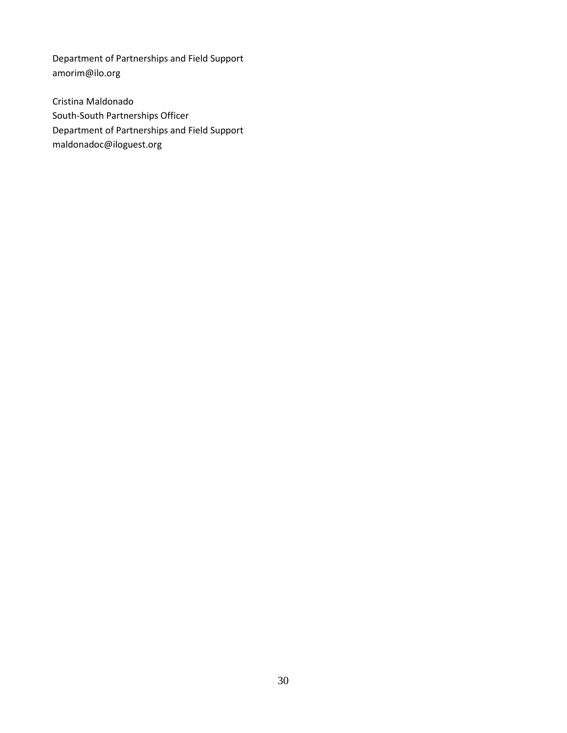Department of Partnerships and Field Support [amorim@ilo.org](mailto:amorim@ilo.org)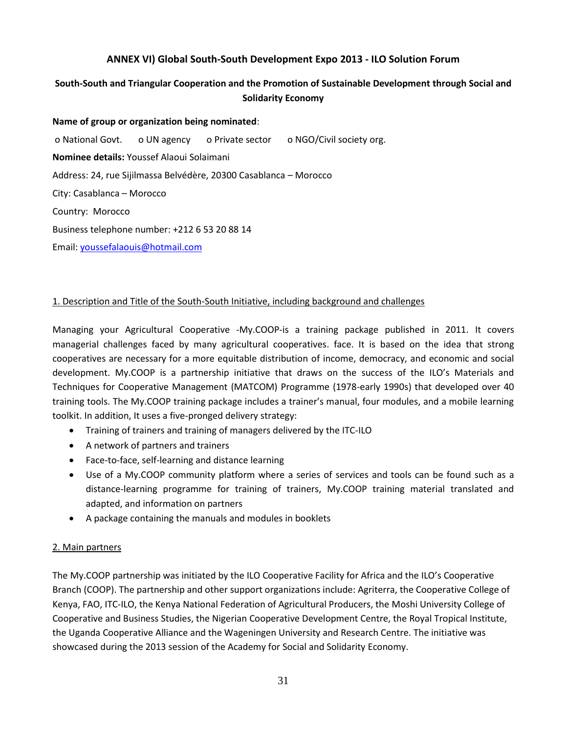## **ANNEX VI) Global South-South Development Expo 2013 - ILO Solution Forum**

# **South-South and Triangular Cooperation and the Promotion of Sustainable Development through Social and Solidarity Economy**

**Name of group or organization being nominated**: o National Govt. o UN agency o Private sector o NGO/Civil society org. **Nominee details:** Youssef Alaoui Solaimani Address: 24, rue Sijilmassa Belvédère, 20300 Casablanca – Morocco City: Casablanca – Morocco Country: Morocco Business telephone number: +212 6 53 20 88 14 Email[: youssefalaouis@hotmail.com](mailto:youssefalaouis@hotmail.com)

#### 1. Description and Title of the South-South Initiative, including background and challenges

Managing your Agricultural Cooperative -My.COOP-is a training package published in 2011. It covers managerial challenges faced by many agricultural cooperatives. face. It is based on the idea that strong cooperatives are necessary for a more equitable distribution of income, democracy, and economic and social development. My.COOP is a partnership initiative that draws on the success of the ILO's Materials and Techniques for Cooperative Management (MATCOM) Programme (1978-early 1990s) that developed over 40 training tools. The My.COOP training package includes a trainer's manual, four modules, and a mobile learning toolkit. In addition, It uses a five-pronged delivery strategy:

- Training of trainers and training of managers delivered by the ITC-ILO
- A network of partners and trainers
- Face-to-face, self-learning and distance learning
- Use of a My.COOP community platform where a series of services and tools can be found such as a distance-learning programme for training of trainers, My.COOP training material translated and adapted, and information on partners
- A package containing the manuals and modules in booklets

### 2. Main partners

The My.COOP partnership was initiated by the ILO Cooperative Facility for Africa and the ILO's Cooperative Branch (COOP). The partnership and other support organizations include: Agriterra, the Cooperative College of Kenya, FAO, ITC-ILO, the Kenya National Federation of Agricultural Producers, the Moshi University College of Cooperative and Business Studies, the Nigerian Cooperative Development Centre, the Royal Tropical Institute, the Uganda Cooperative Alliance and the Wageningen University and Research Centre. The initiative was showcased during the 2013 session of the Academy for Social and Solidarity Economy.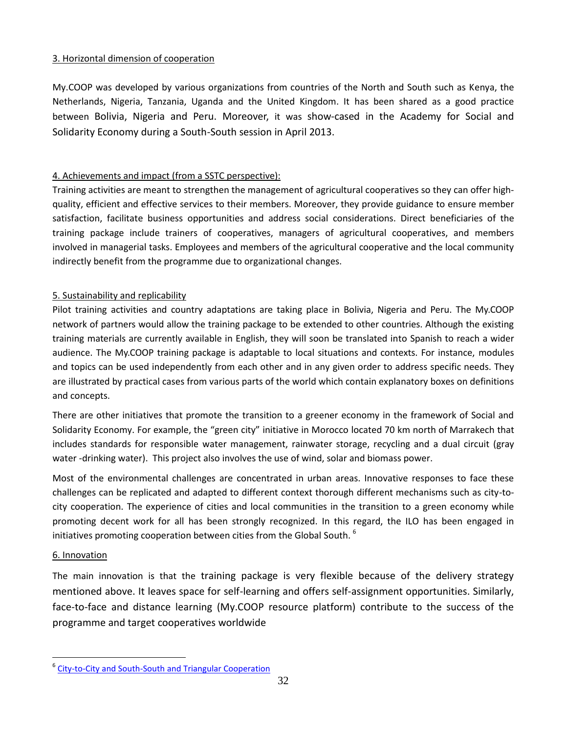## 3. Horizontal dimension of cooperation

My.COOP was developed by various organizations from countries of the North and South such as Kenya, the Netherlands, Nigeria, Tanzania, Uganda and the United Kingdom. It has been shared as a good practice between Bolivia, Nigeria and Peru. Moreover, it was show-cased in the Academy for Social and Solidarity Economy during a South-South session in April 2013.

## 4. Achievements and impact (from a SSTC perspective):

Training activities are meant to strengthen the management of agricultural cooperatives so they can offer highquality, efficient and effective services to their members. Moreover, they provide guidance to ensure member satisfaction, facilitate business opportunities and address social considerations. Direct beneficiaries of the training package include trainers of cooperatives, managers of agricultural cooperatives, and members involved in managerial tasks. Employees and members of the agricultural cooperative and the local community indirectly benefit from the programme due to organizational changes.

## 5. Sustainability and replicability

Pilot training activities and country adaptations are taking place in Bolivia, Nigeria and Peru. The My.COOP network of partners would allow the training package to be extended to other countries. Although the existing training materials are currently available in English, they will soon be translated into Spanish to reach a wider audience. The My.COOP training package is adaptable to local situations and contexts. For instance, modules and topics can be used independently from each other and in any given order to address specific needs. They are illustrated by practical cases from various parts of the world which contain explanatory boxes on definitions and concepts.

There are other initiatives that promote the transition to a greener economy in the framework of Social and Solidarity Economy. For example, the "green city" initiative in Morocco located 70 km north of Marrakech that includes standards for responsible water management, rainwater storage, recycling and a dual circuit (gray water -drinking water). This project also involves the use of wind, solar and biomass power.

Most of the environmental challenges are concentrated in urban areas. Innovative responses to face these challenges can be replicated and adapted to different context thorough different mechanisms such as city-tocity cooperation. The experience of cities and local communities in the transition to a green economy while promoting decent work for all has been strongly recognized. In this regard, the ILO has been engaged in initiatives promoting cooperation between cities from the Global South.<sup>6</sup>

### 6. Innovation

 $\overline{a}$ 

The main innovation is that the training package is very flexible because of the delivery strategy mentioned above. It leaves space for self-learning and offers self-assignment opportunities. Similarly, face-to-face and distance learning (My.COOP resource platform) contribute to the success of the programme and target cooperatives worldwide

<sup>&</sup>lt;sup>6</sup> [City-to-City and South-South and Triangular Cooperation](http://www.ilo.org/wcmsp5/groups/public/---dgreports/---exrel/documents/publication/wcms_222208.pdf)